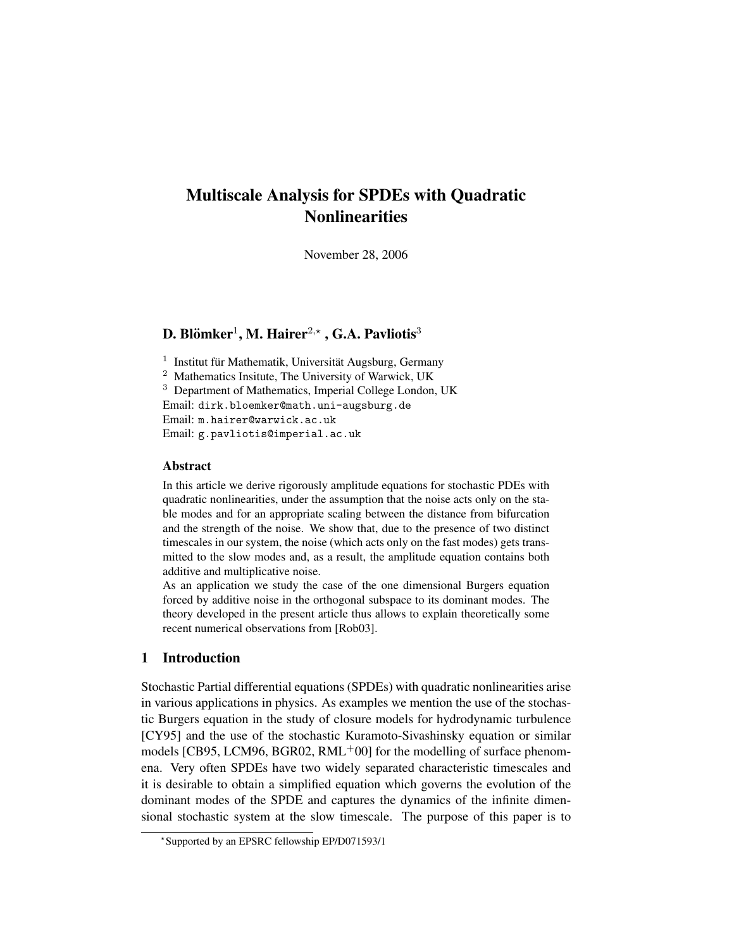# Multiscale Analysis for SPDEs with Quadratic **Nonlinearities**

November 28, 2006

# D. Blömker $^1$ , M. Hairer $^{2,\star}$  , G.A. Pavliotis $^3$

<sup>1</sup> Institut für Mathematik, Universität Augsburg, Germany

<sup>2</sup> Mathematics Insitute, The University of Warwick, UK

<sup>3</sup> Department of Mathematics, Imperial College London, UK

Email: dirk.bloemker@math.uni-augsburg.de

Email: m.hairer@warwick.ac.uk

Email: g.pavliotis@imperial.ac.uk

# Abstract

In this article we derive rigorously amplitude equations for stochastic PDEs with quadratic nonlinearities, under the assumption that the noise acts only on the stable modes and for an appropriate scaling between the distance from bifurcation and the strength of the noise. We show that, due to the presence of two distinct timescales in our system, the noise (which acts only on the fast modes) gets transmitted to the slow modes and, as a result, the amplitude equation contains both additive and multiplicative noise.

As an application we study the case of the one dimensional Burgers equation forced by additive noise in the orthogonal subspace to its dominant modes. The theory developed in the present article thus allows to explain theoretically some recent numerical observations from [Rob03].

# 1 Introduction

Stochastic Partial differential equations (SPDEs) with quadratic nonlinearities arise in various applications in physics. As examples we mention the use of the stochastic Burgers equation in the study of closure models for hydrodynamic turbulence [CY95] and the use of the stochastic Kuramoto-Sivashinsky equation or similar models [CB95, LCM96, BGR02,  $RML+00$ ] for the modelling of surface phenomena. Very often SPDEs have two widely separated characteristic timescales and it is desirable to obtain a simplified equation which governs the evolution of the dominant modes of the SPDE and captures the dynamics of the infinite dimensional stochastic system at the slow timescale. The purpose of this paper is to

<sup>?</sup> Supported by an EPSRC fellowship EP/D071593/1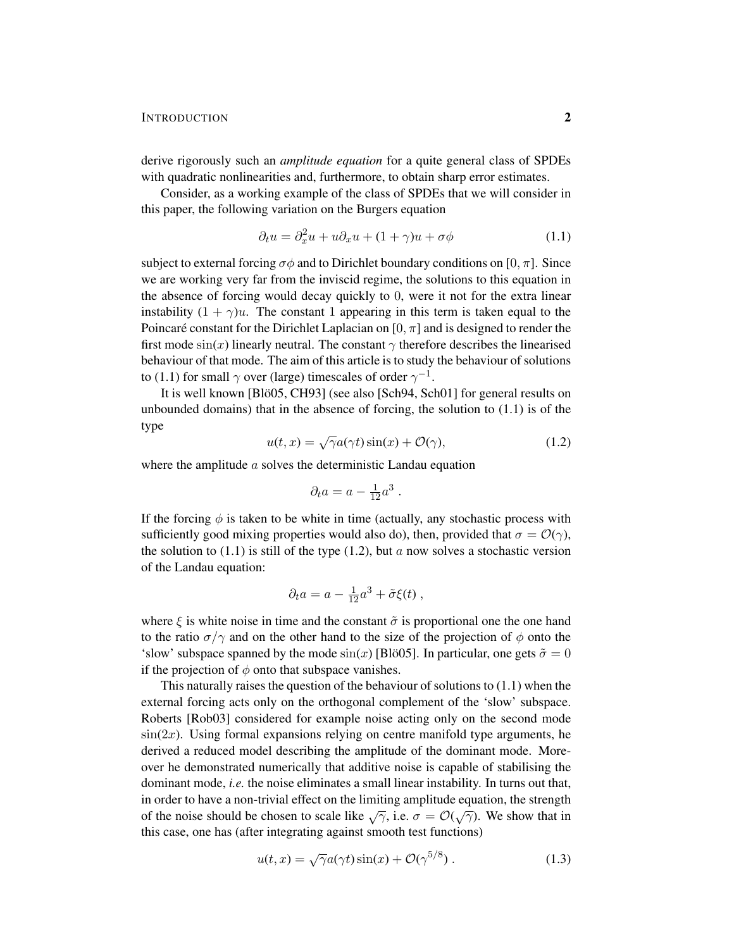#### INTRODUCTION 2

derive rigorously such an *amplitude equation* for a quite general class of SPDEs with quadratic nonlinearities and, furthermore, to obtain sharp error estimates.

Consider, as a working example of the class of SPDEs that we will consider in this paper, the following variation on the Burgers equation

$$
\partial_t u = \partial_x^2 u + u \partial_x u + (1 + \gamma)u + \sigma \phi \tag{1.1}
$$

subject to external forcing  $\sigma\phi$  and to Dirichlet boundary conditions on [0,  $\pi$ ]. Since we are working very far from the inviscid regime, the solutions to this equation in the absence of forcing would decay quickly to 0, were it not for the extra linear instability  $(1 + \gamma)u$ . The constant 1 appearing in this term is taken equal to the Poincaré constant for the Dirichlet Laplacian on  $[0, \pi]$  and is designed to render the first mode  $sin(x)$  linearly neutral. The constant  $\gamma$  therefore describes the linearised behaviour of that mode. The aim of this article is to study the behaviour of solutions to (1.1) for small  $\gamma$  over (large) timescales of order  $\gamma^{-1}$ .

It is well known [Blö05, CH93] (see also [Sch94, Sch01] for general results on unbounded domains) that in the absence of forcing, the solution to  $(1.1)$  is of the type √

$$
u(t,x) = \sqrt{\gamma}a(\gamma t)\sin(x) + \mathcal{O}(\gamma),\tag{1.2}
$$

where the amplitude a solves the deterministic Landau equation

$$
\partial_t a = a - \tfrac{1}{12} a^3 \; .
$$

If the forcing  $\phi$  is taken to be white in time (actually, any stochastic process with sufficiently good mixing properties would also do), then, provided that  $\sigma = \mathcal{O}(\gamma)$ , the solution to  $(1.1)$  is still of the type  $(1.2)$ , but a now solves a stochastic version of the Landau equation:

$$
\partial_t a = a - \frac{1}{12}a^3 + \tilde{\sigma}\xi(t) ,
$$

where  $\xi$  is white noise in time and the constant  $\tilde{\sigma}$  is proportional one the one hand to the ratio  $\sigma/\gamma$  and on the other hand to the size of the projection of  $\phi$  onto the 'slow' subspace spanned by the mode  $sin(x)$  [Bloo5]. In particular, one gets  $\tilde{\sigma} = 0$ if the projection of  $\phi$  onto that subspace vanishes.

This naturally raises the question of the behaviour of solutions to (1.1) when the external forcing acts only on the orthogonal complement of the 'slow' subspace. Roberts [Rob03] considered for example noise acting only on the second mode  $sin(2x)$ . Using formal expansions relying on centre manifold type arguments, he derived a reduced model describing the amplitude of the dominant mode. Moreover he demonstrated numerically that additive noise is capable of stabilising the dominant mode, *i.e.* the noise eliminates a small linear instability. In turns out that, in order to have a non-trivial effect on the limiting amplitude equation, the strength of the noise should be chosen to scale like  $\sqrt{\gamma}$ , i.e.  $\sigma = \mathcal{O}(\sqrt{\gamma})$ . We show that in this case, one has (after integrating against smooth test functions)

$$
u(t,x) = \sqrt{\gamma}a(\gamma t)\sin(x) + \mathcal{O}(\gamma^{5/8}).
$$
 (1.3)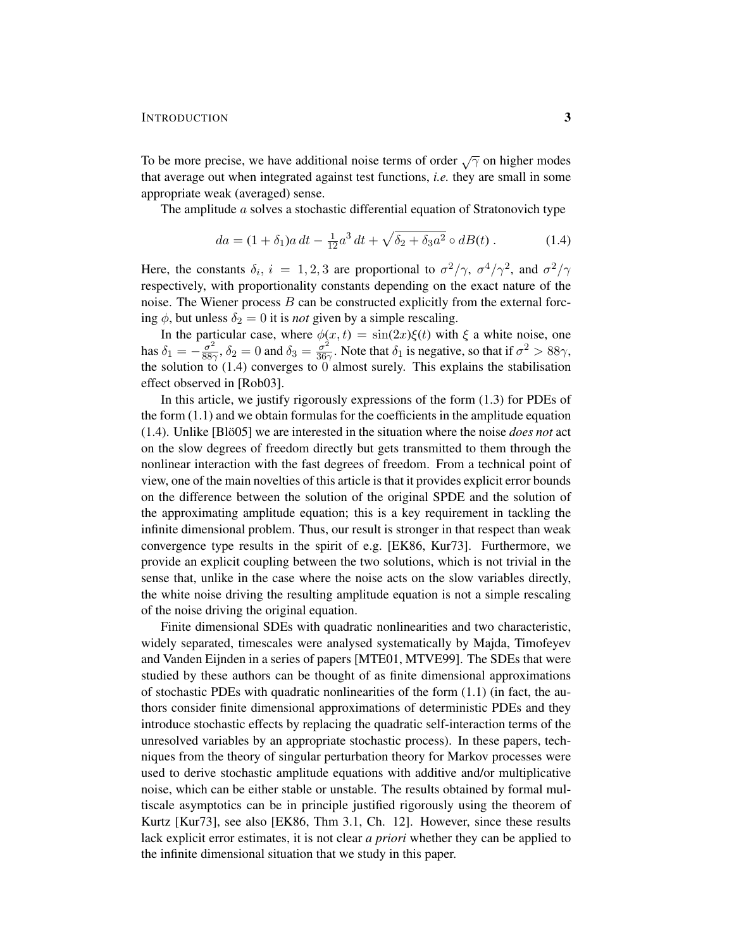To be more precise, we have additional noise terms of order  $\sqrt{\gamma}$  on higher modes that average out when integrated against test functions, *i.e.* they are small in some appropriate weak (averaged) sense.

The amplitude a solves a stochastic differential equation of Stratonovich type

$$
da = (1 + \delta_1)a dt - \frac{1}{12}a^3 dt + \sqrt{\delta_2 + \delta_3 a^2} \circ dB(t) . \tag{1.4}
$$

Here, the constants  $\delta_i$ ,  $i = 1, 2, 3$  are proportional to  $\sigma^2/\gamma$ ,  $\sigma^4/\gamma^2$ , and  $\sigma^2/\gamma$ respectively, with proportionality constants depending on the exact nature of the noise. The Wiener process  $B$  can be constructed explicitly from the external forcing  $\phi$ , but unless  $\delta_2 = 0$  it is *not* given by a simple rescaling.

In the particular case, where  $\phi(x, t) = \sin(2x)\xi(t)$  with  $\xi$  a white noise, one has  $\delta_1 = -\frac{\sigma^2}{88}$  $\frac{\sigma^2}{88\gamma}$ ,  $\delta_2 = 0$  and  $\delta_3 = \frac{\sigma^2}{36\gamma}$  $\frac{\sigma^2}{36\gamma}$ . Note that  $\delta_1$  is negative, so that if  $\sigma^2 > 88\gamma$ , the solution to (1.4) converges to 0 almost surely. This explains the stabilisation effect observed in [Rob03].

In this article, we justify rigorously expressions of the form (1.3) for PDEs of the form (1.1) and we obtain formulas for the coefficients in the amplitude equation  $(1.4)$ . Unlike [Bloot] we are interested in the situation where the noise *does not* act on the slow degrees of freedom directly but gets transmitted to them through the nonlinear interaction with the fast degrees of freedom. From a technical point of view, one of the main novelties of this article is that it provides explicit error bounds on the difference between the solution of the original SPDE and the solution of the approximating amplitude equation; this is a key requirement in tackling the infinite dimensional problem. Thus, our result is stronger in that respect than weak convergence type results in the spirit of e.g. [EK86, Kur73]. Furthermore, we provide an explicit coupling between the two solutions, which is not trivial in the sense that, unlike in the case where the noise acts on the slow variables directly, the white noise driving the resulting amplitude equation is not a simple rescaling of the noise driving the original equation.

Finite dimensional SDEs with quadratic nonlinearities and two characteristic, widely separated, timescales were analysed systematically by Majda, Timofeyev and Vanden Eijnden in a series of papers [MTE01, MTVE99]. The SDEs that were studied by these authors can be thought of as finite dimensional approximations of stochastic PDEs with quadratic nonlinearities of the form  $(1.1)$  (in fact, the authors consider finite dimensional approximations of deterministic PDEs and they introduce stochastic effects by replacing the quadratic self-interaction terms of the unresolved variables by an appropriate stochastic process). In these papers, techniques from the theory of singular perturbation theory for Markov processes were used to derive stochastic amplitude equations with additive and/or multiplicative noise, which can be either stable or unstable. The results obtained by formal multiscale asymptotics can be in principle justified rigorously using the theorem of Kurtz [Kur73], see also [EK86, Thm 3.1, Ch. 12]. However, since these results lack explicit error estimates, it is not clear *a priori* whether they can be applied to the infinite dimensional situation that we study in this paper.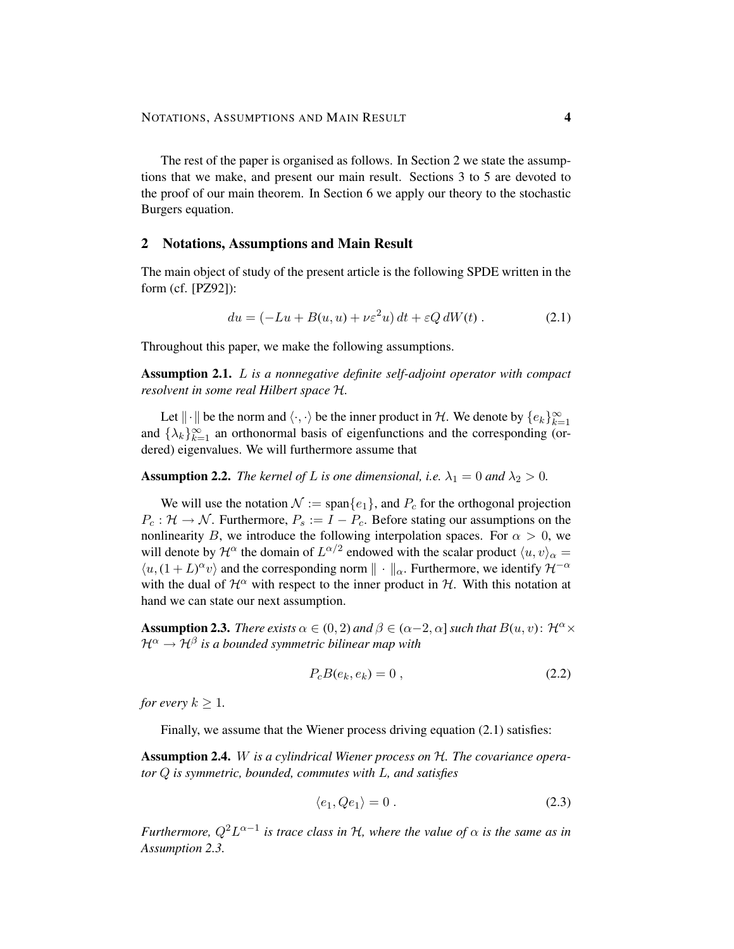The rest of the paper is organised as follows. In Section 2 we state the assumptions that we make, and present our main result. Sections 3 to 5 are devoted to the proof of our main theorem. In Section 6 we apply our theory to the stochastic Burgers equation.

## 2 Notations, Assumptions and Main Result

The main object of study of the present article is the following SPDE written in the form (cf. [PZ92]):

$$
du = \left(-Lu + B(u, u) + \nu \varepsilon^2 u\right) dt + \varepsilon Q dW(t) . \tag{2.1}
$$

Throughout this paper, we make the following assumptions.

Assumption 2.1. L *is a nonnegative definite self-adjoint operator with compact resolvent in some real Hilbert space* H*.*

Let  $\|\cdot\|$  be the norm and  $\langle \cdot, \cdot \rangle$  be the inner product in H. We denote by  $\{e_k\}_{k=1}^{\infty}$ and  $\{\lambda_k\}_{k=1}^{\infty}$  an orthonormal basis of eigenfunctions and the corresponding (ordered) eigenvalues. We will furthermore assume that

**Assumption 2.2.** *The kernel of L is one dimensional, i.e.*  $\lambda_1 = 0$  *and*  $\lambda_2 > 0$ *.* 

We will use the notation  $\mathcal{N} := \text{span}\{e_1\}$ , and  $P_c$  for the orthogonal projection  $P_c: \mathcal{H} \to \mathcal{N}$ . Furthermore,  $P_s := I - P_c$ . Before stating our assumptions on the nonlinearity B, we introduce the following interpolation spaces. For  $\alpha > 0$ , we will denote by  $\mathcal{H}^{\alpha}$  the domain of  $L^{\alpha/2}$  endowed with the scalar product  $\langle u, v \rangle_{\alpha} =$  $\langle u, (1 + L)^{\alpha} v \rangle$  and the corresponding norm  $\|\cdot\|_{\alpha}$ . Furthermore, we identify  $\mathcal{H}^{-\alpha}$ with the dual of  $\mathcal{H}^{\alpha}$  with respect to the inner product in  $\mathcal{H}$ . With this notation at hand we can state our next assumption.

**Assumption 2.3.** *There exists*  $\alpha \in (0, 2)$  *and*  $\beta \in (\alpha - 2, \alpha]$  *such that*  $B(u, v)$ :  $\mathcal{H}^{\alpha} \times$  $\mathcal{H}^{\alpha} \rightarrow \mathcal{H}^{\beta}$  is a bounded symmetric bilinear map with

$$
P_c B(e_k, e_k) = 0 , \qquad (2.2)
$$

*for every*  $k \geq 1$ *.* 

Finally, we assume that the Wiener process driving equation  $(2.1)$  satisfies:

Assumption 2.4. W *is a cylindrical Wiener process on* H*. The covariance operator* Q *is symmetric, bounded, commutes with* L*, and satisfies*

$$
\langle e_1, Qe_1 \rangle = 0. \tag{2.3}
$$

*Furthermore,*  $Q^2 L^{\alpha-1}$  *is trace class in H, where the value of*  $\alpha$  *is the same as in Assumption 2.3.*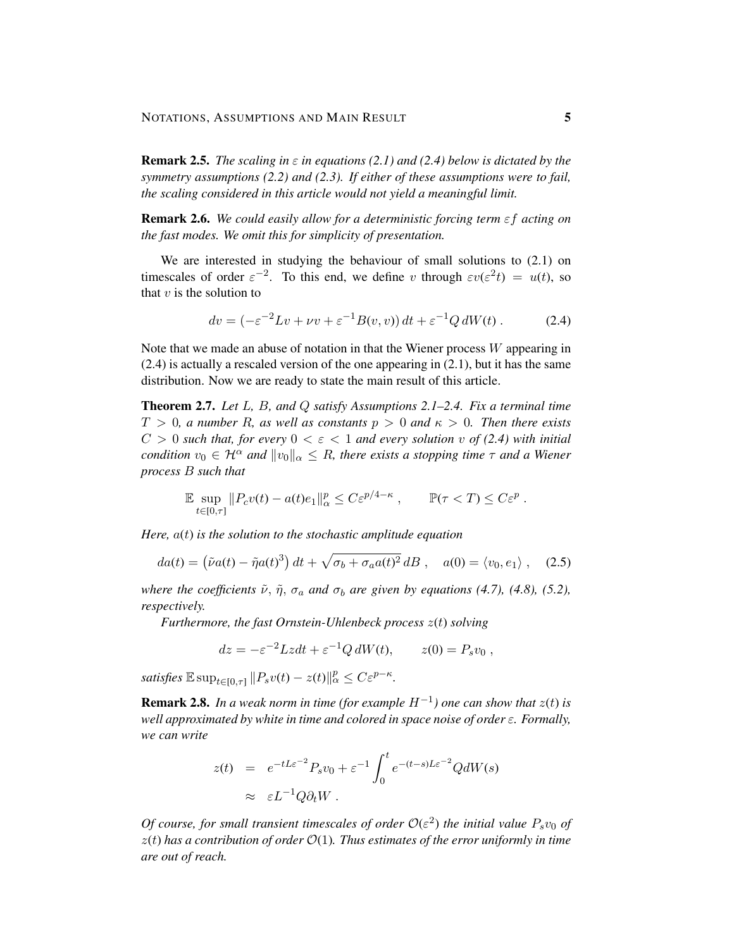**Remark 2.5.** *The scaling in*  $\varepsilon$  *in equations (2.1) and (2.4) below is dictated by the symmetry assumptions (2.2) and (2.3). If either of these assumptions were to fail, the scaling considered in this article would not yield a meaningful limit.*

Remark 2.6. *We could easily allow for a deterministic forcing term* εf *acting on the fast modes. We omit this for simplicity of presentation.*

We are interested in studying the behaviour of small solutions to  $(2.1)$  on timescales of order  $\varepsilon^{-2}$ . To this end, we define v through  $\varepsilon v(\varepsilon^2 t) = u(t)$ , so that  $v$  is the solution to

$$
dv = \left(-\varepsilon^{-2}Lv + \nu v + \varepsilon^{-1}B(v, v)\right)dt + \varepsilon^{-1}Q\,dW(t) \,. \tag{2.4}
$$

Note that we made an abuse of notation in that the Wiener process  $W$  appearing in (2.4) is actually a rescaled version of the one appearing in (2.1), but it has the same distribution. Now we are ready to state the main result of this article.

Theorem 2.7. *Let* L*,* B*, and* Q *satisfy Assumptions 2.1–2.4. Fix a terminal time*  $T > 0$ , a number R, as well as constants  $p > 0$  and  $\kappa > 0$ . Then there exists  $C > 0$  such that, for every  $0 < \varepsilon < 1$  and every solution v of (2.4) with initial *condition*  $v_0 \in \mathcal{H}^{\alpha}$  *and*  $||v_0||_{\alpha} \leq R$ *, there exists a stopping time*  $\tau$  *and a Wiener process* B *such that*

$$
\mathbb{E} \sup_{t \in [0,\tau]} \|P_c v(t) - a(t)e_1\|_{\alpha}^p \le C \varepsilon^{p/4 - \kappa} , \qquad \mathbb{P}(\tau < T) \le C \varepsilon^p .
$$

*Here,* a(t) *is the solution to the stochastic amplitude equation*

$$
da(t) = (\tilde{\nu}a(t) - \tilde{\eta}a(t)^3) dt + \sqrt{\sigma_b + \sigma_a a(t)^2} dB , \quad a(0) = \langle v_0, e_1 \rangle , \quad (2.5)
$$

*where the coefficients*  $\tilde{\nu}$ ,  $\tilde{\eta}$ ,  $\sigma_a$  *and*  $\sigma_b$  *are given by equations* (4.7), (4.8), (5.2), *respectively.*

*Furthermore, the fast Ornstein-Uhlenbeck process* z(t) *solving*

$$
dz = -\varepsilon^{-2}Lzdt + \varepsilon^{-1}Q dW(t), \qquad z(0) = P_s v_0,
$$

*satisfies*  $\mathbb{E} \sup_{t \in [0,\tau]} \|P_s v(t) - z(t)\|_{\alpha}^p \leq C \varepsilon^{p-\kappa}$ *.* 

**Remark 2.8.** In a weak norm in time (for example  $H^{-1}$ ) one can show that  $z(t)$  is *well approximated by white in time and colored in space noise of order* ε*. Formally, we can write*

$$
z(t) = e^{-tL\varepsilon^{-2}} P_s v_0 + \varepsilon^{-1} \int_0^t e^{-(t-s)L\varepsilon^{-2}} QdW(s)
$$
  
 
$$
\approx \varepsilon L^{-1} Q \partial_t W.
$$

*Of course, for small transient timescales of order*  $\mathcal{O}(\varepsilon^2)$  the initial value  $P_s v_0$  of z(t) *has a contribution of order* O(1)*. Thus estimates of the error uniformly in time are out of reach.*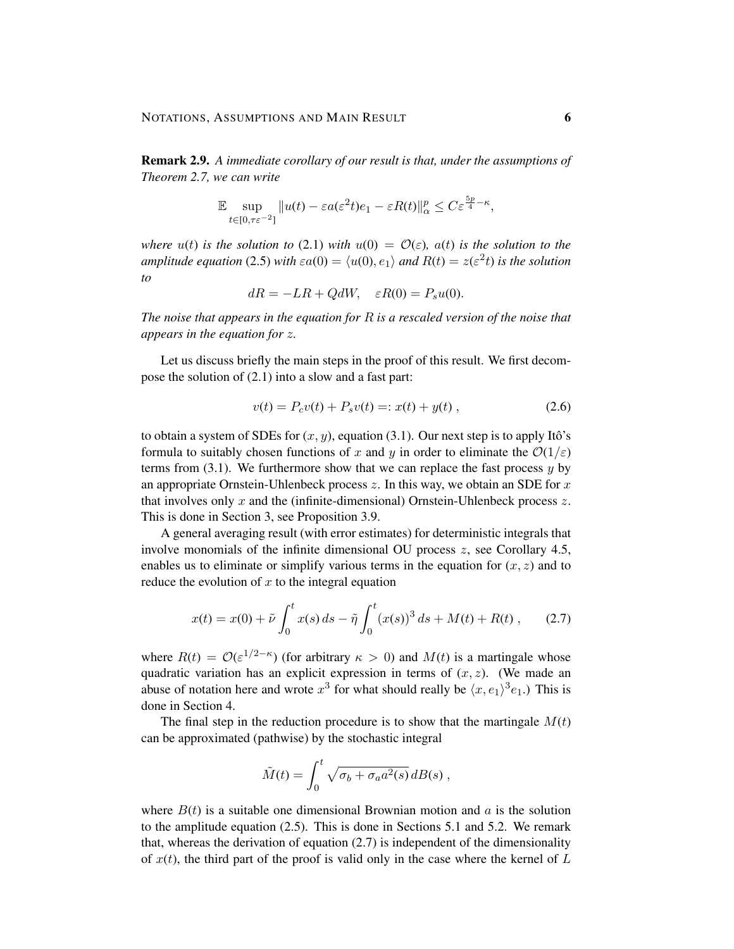Remark 2.9. *A immediate corollary of our result is that, under the assumptions of Theorem 2.7, we can write*

$$
\mathbb{E}\sup_{t\in[0,\tau\varepsilon^{-2}]}||u(t)-\varepsilon a(\varepsilon^2 t)e_1-\varepsilon R(t)||_{\alpha}^p\leq C\varepsilon^{\frac{5p}{4}-\kappa},
$$

*where*  $u(t)$  *is the solution to* (2.1) *with*  $u(0) = \mathcal{O}(\varepsilon)$ *, a(t) is the solution to the amplitude equation* (2.5) *with*  $\varepsilon a(0) = \langle u(0), e_1 \rangle$  *and*  $R(t) = z(\varepsilon^2 t)$  *is the solution to*

$$
dR = -LR + QdW, \quad \varepsilon R(0) = P_s u(0).
$$

*The noise that appears in the equation for* R *is a rescaled version of the noise that appears in the equation for* z*.*

Let us discuss briefly the main steps in the proof of this result. We first decompose the solution of (2.1) into a slow and a fast part:

$$
v(t) = P_c v(t) + P_s v(t) =: x(t) + y(t) , \qquad (2.6)
$$

to obtain a system of SDEs for  $(x, y)$ , equation (3.1). Our next step is to apply Itô's formula to suitably chosen functions of x and y in order to eliminate the  $\mathcal{O}(1/\varepsilon)$ terms from  $(3.1)$ . We furthermore show that we can replace the fast process y by an appropriate Ornstein-Uhlenbeck process  $z$ . In this way, we obtain an SDE for  $x$ that involves only  $x$  and the (infinite-dimensional) Ornstein-Uhlenbeck process  $z$ . This is done in Section 3, see Proposition 3.9.

A general averaging result (with error estimates) for deterministic integrals that involve monomials of the infinite dimensional OU process  $z$ , see Corollary 4.5, enables us to eliminate or simplify various terms in the equation for  $(x, z)$  and to reduce the evolution of  $x$  to the integral equation

$$
x(t) = x(0) + \tilde{\nu} \int_0^t x(s) \, ds - \tilde{\eta} \int_0^t (x(s))^3 \, ds + M(t) + R(t) \,, \tag{2.7}
$$

where  $R(t) = \mathcal{O}(\varepsilon^{1/2-\kappa})$  (for arbitrary  $\kappa > 0$ ) and  $M(t)$  is a martingale whose quadratic variation has an explicit expression in terms of  $(x, z)$ . (We made an abuse of notation here and wrote  $x^3$  for what should really be  $\langle x, e_1 \rangle^3 e_1$ .) This is done in Section 4.

The final step in the reduction procedure is to show that the martingale  $M(t)$ can be approximated (pathwise) by the stochastic integral

$$
\tilde{M}(t) = \int_0^t \sqrt{\sigma_b + \sigma_a a^2(s)} \, dB(s) ,
$$

where  $B(t)$  is a suitable one dimensional Brownian motion and a is the solution to the amplitude equation  $(2.5)$ . This is done in Sections 5.1 and 5.2. We remark that, whereas the derivation of equation (2.7) is independent of the dimensionality of  $x(t)$ , the third part of the proof is valid only in the case where the kernel of L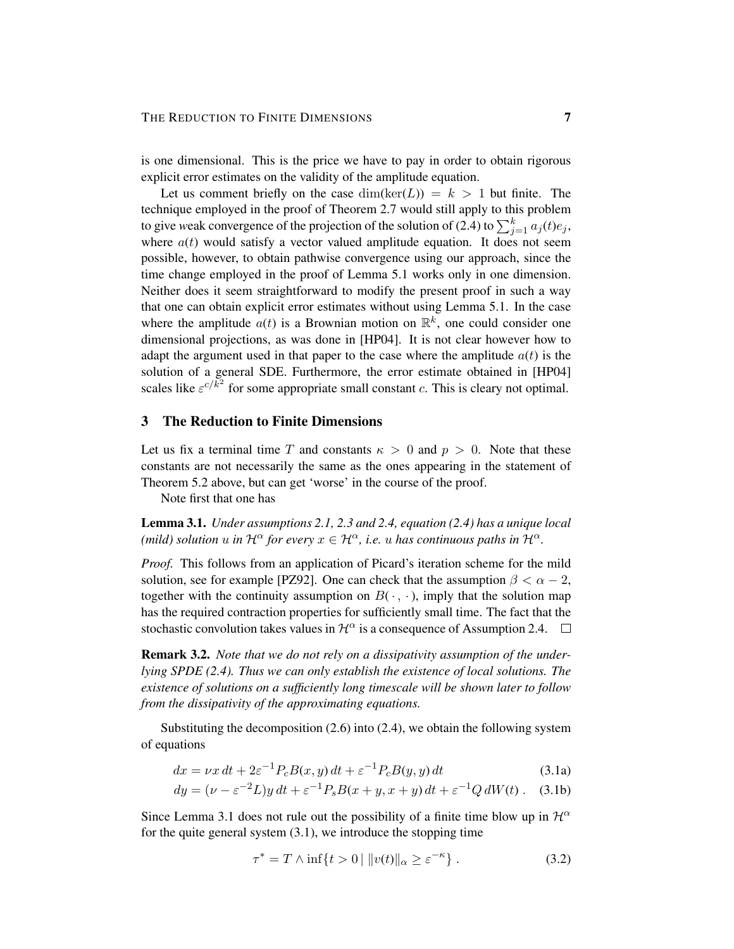is one dimensional. This is the price we have to pay in order to obtain rigorous explicit error estimates on the validity of the amplitude equation.

Let us comment briefly on the case  $\dim(\ker(L)) = k > 1$  but finite. The technique employed in the proof of Theorem 2.7 would still apply to this problem to give weak convergence of the projection of the solution of (2.4) to  $\sum_{j=1}^{k} a_j(t)e_j$ , where  $a(t)$  would satisfy a vector valued amplitude equation. It does not seem possible, however, to obtain pathwise convergence using our approach, since the time change employed in the proof of Lemma 5.1 works only in one dimension. Neither does it seem straightforward to modify the present proof in such a way that one can obtain explicit error estimates without using Lemma 5.1. In the case where the amplitude  $a(t)$  is a Brownian motion on  $\mathbb{R}^k$ , one could consider one dimensional projections, as was done in [HP04]. It is not clear however how to adapt the argument used in that paper to the case where the amplitude  $a(t)$  is the solution of a general SDE. Furthermore, the error estimate obtained in [HP04] scales like  $\varepsilon^{c/\bar{k}^2}$  for some appropriate small constant c. This is cleary not optimal.

# 3 The Reduction to Finite Dimensions

Let us fix a terminal time T and constants  $\kappa > 0$  and  $p > 0$ . Note that these constants are not necessarily the same as the ones appearing in the statement of Theorem 5.2 above, but can get 'worse' in the course of the proof.

Note first that one has

Lemma 3.1. *Under assumptions 2.1, 2.3 and 2.4, equation (2.4) has a unique local (mild) solution* u *in*  $\mathcal{H}^{\alpha}$  *for every*  $x \in \mathcal{H}^{\alpha}$ *, i.e.* u *has continuous paths in*  $\mathcal{H}^{\alpha}$ *.* 

*Proof.* This follows from an application of Picard's iteration scheme for the mild solution, see for example [PZ92]. One can check that the assumption  $\beta < \alpha - 2$ , together with the continuity assumption on  $B(\cdot, \cdot)$ , imply that the solution map has the required contraction properties for sufficiently small time. The fact that the stochastic convolution takes values in  $\mathcal{H}^{\alpha}$  is a consequence of Assumption 2.4.  $\square$ 

Remark 3.2. *Note that we do not rely on a dissipativity assumption of the underlying SPDE (2.4). Thus we can only establish the existence of local solutions. The existence of solutions on a sufficiently long timescale will be shown later to follow from the dissipativity of the approximating equations.*

Substituting the decomposition (2.6) into (2.4), we obtain the following system of equations

$$
dx = \nu x dt + 2\varepsilon^{-1} P_c B(x, y) dt + \varepsilon^{-1} P_c B(y, y) dt
$$
\n(3.1a)

$$
dy = (\nu - \varepsilon^{-2}L)y dt + \varepsilon^{-1} P_s B(x + y, x + y) dt + \varepsilon^{-1} Q dW(t).
$$
 (3.1b)

Since Lemma 3.1 does not rule out the possibility of a finite time blow up in  $\mathcal{H}^{\alpha}$ for the quite general system (3.1), we introduce the stopping time

$$
\tau^* = T \wedge \inf\{t > 0 \mid ||v(t)||_{\alpha} \ge \varepsilon^{-\kappa}\}.
$$
 (3.2)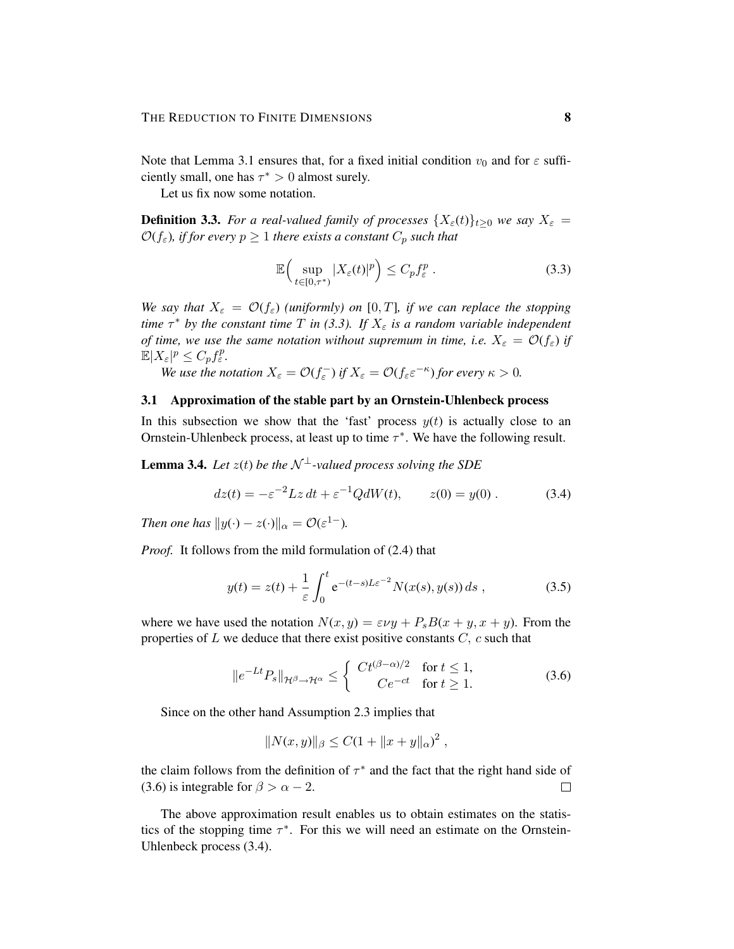Note that Lemma 3.1 ensures that, for a fixed initial condition  $v_0$  and for  $\varepsilon$  sufficiently small, one has  $\tau^* > 0$  almost surely.

Let us fix now some notation.

**Definition 3.3.** *For a real-valued family of processes*  $\{X_{\varepsilon}(t)\}_{t\geq0}$  *we say*  $X_{\varepsilon}$  =  $\mathcal{O}(f_{\varepsilon})$ *, if for every*  $p \geq 1$  *there exists a constant*  $C_p$  *such that* 

$$
\mathbb{E}\Big(\sup_{t\in[0,\tau^*)}|X_{\varepsilon}(t)|^p\Big)\leq C_p f_{\varepsilon}^p\;.\tag{3.3}
$$

*We say that*  $X_{\varepsilon} = \mathcal{O}(f_{\varepsilon})$  *(uniformly) on* [0, *T*]*, if we can replace the stopping time*  $\tau^*$  *by the constant time*  $T$  *in* (3.3). If  $X_\varepsilon$  *is a random variable independent of time, we use the same notation without supremum in time, i.e.*  $X_{\varepsilon} = \mathcal{O}(f_{\varepsilon})$  *if*  $\mathbb{E}|X_{\varepsilon}|^p \leq C_p f_{\varepsilon}^p.$ 

*We use the notation*  $X_{\varepsilon} = \mathcal{O}(f_{\varepsilon})$  *if*  $X_{\varepsilon} = \mathcal{O}(f_{\varepsilon} \varepsilon^{-\kappa})$  *for every*  $\kappa > 0$ *.* 

# 3.1 Approximation of the stable part by an Ornstein-Uhlenbeck process

In this subsection we show that the 'fast' process  $y(t)$  is actually close to an Ornstein-Uhlenbeck process, at least up to time  $\tau^*$ . We have the following result.

**Lemma 3.4.** *Let*  $z(t)$  *be the*  $\mathcal{N}^{\perp}$ *-valued process solving the SDE* 

$$
dz(t) = -\varepsilon^{-2} Lz \, dt + \varepsilon^{-1} Q dW(t), \qquad z(0) = y(0) \,. \tag{3.4}
$$

*Then one has*  $||y(\cdot) - z(\cdot)||_{\alpha} = \mathcal{O}(\varepsilon^{1-}).$ 

*Proof.* It follows from the mild formulation of (2.4) that

$$
y(t) = z(t) + \frac{1}{\varepsilon} \int_0^t e^{-(t-s)L\varepsilon^{-2}} N(x(s), y(s)) ds , \qquad (3.5)
$$

where we have used the notation  $N(x, y) = \varepsilon \nu y + P_s B(x + y, x + y)$ . From the properties of  $L$  we deduce that there exist positive constants  $C$ ,  $c$  such that

$$
||e^{-Lt}P_s||_{\mathcal{H}^{\beta}\to\mathcal{H}^{\alpha}} \leq \begin{cases} Ct^{(\beta-\alpha)/2} & \text{for } t \leq 1, \\ C e^{-ct} & \text{for } t \geq 1. \end{cases}
$$
 (3.6)

Since on the other hand Assumption 2.3 implies that

$$
||N(x,y)||_{\beta} \leq C(1+||x+y||_{\alpha})^2,
$$

the claim follows from the definition of  $\tau^*$  and the fact that the right hand side of (3.6) is integrable for  $\beta > \alpha - 2$ .  $\Box$ 

The above approximation result enables us to obtain estimates on the statistics of the stopping time  $\tau^*$ . For this we will need an estimate on the Ornstein-Uhlenbeck process (3.4).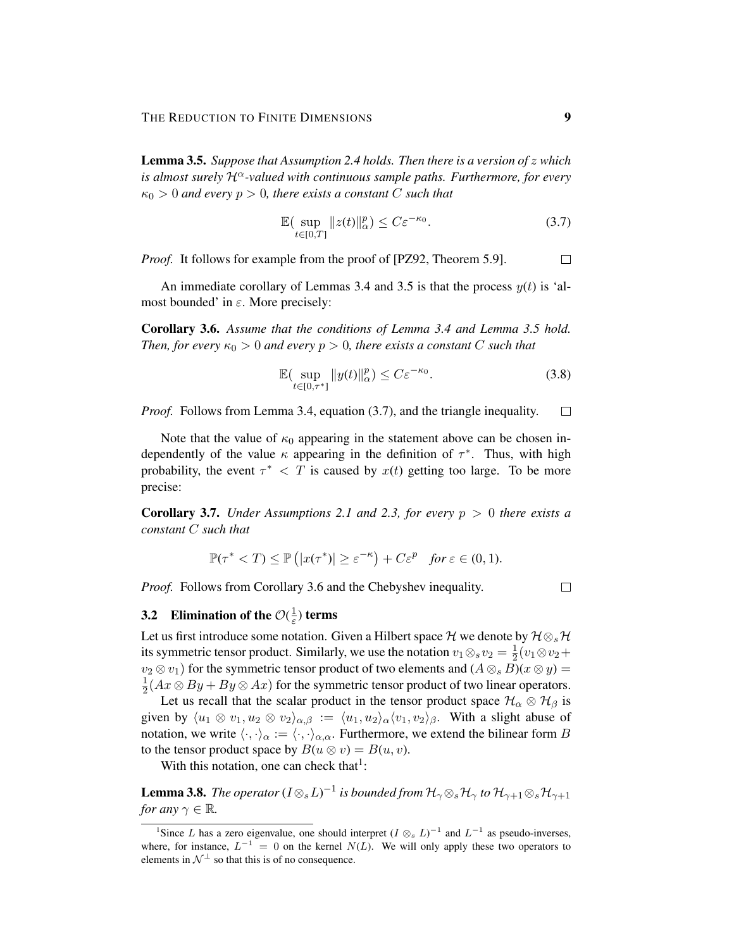Lemma 3.5. *Suppose that Assumption 2.4 holds. Then there is a version of* z *which is almost surely*  $\mathcal{H}^{\alpha}$ -valued with continuous sample paths. Furthermore, for every  $\kappa_0 > 0$  *and every*  $p > 0$ *, there exists a constant* C *such that* 

$$
\mathbb{E}\left(\sup_{t\in[0,T]}\|z(t)\|_{\alpha}^p\right)\leq C\varepsilon^{-\kappa_0}.\tag{3.7}
$$

*Proof.* It follows for example from the proof of [PZ92, Theorem 5.9].  $\Box$ 

An immediate corollary of Lemmas 3.4 and 3.5 is that the process  $y(t)$  is 'almost bounded' in  $\varepsilon$ . More precisely:

Corollary 3.6. *Assume that the conditions of Lemma 3.4 and Lemma 3.5 hold. Then, for every*  $\kappa_0 > 0$  *and every*  $p > 0$ *, there exists a constant* C *such that* 

$$
\mathbb{E}\left(\sup_{t\in[0,\tau^*]} \|y(t)\|_{\alpha}^p\right) \le C\varepsilon^{-\kappa_0}.\tag{3.8}
$$

*Proof.* Follows from Lemma 3.4, equation (3.7), and the triangle inequality.  $\Box$ 

Note that the value of  $\kappa_0$  appearing in the statement above can be chosen independently of the value  $\kappa$  appearing in the definition of  $\tau^*$ . Thus, with high probability, the event  $\tau^* < T$  is caused by  $x(t)$  getting too large. To be more precise:

**Corollary 3.7.** *Under Assumptions 2.1 and 2.3, for every*  $p > 0$  *there exists a constant* C *such that*

$$
\mathbb{P}(\tau^* < T) \le \mathbb{P}\left(|x(\tau^*)| \ge \varepsilon^{-\kappa}\right) + C\varepsilon^p \quad \text{for } \varepsilon \in (0, 1).
$$

*Proof.* Follows from Corollary 3.6 and the Chebyshev inequality.

 $\Box$ 

#### 3.2 Elimination of the  $\mathcal{O}(\frac{1}{\varepsilon})$  $\frac{1}{\varepsilon}$ ) terms

Let us first introduce some notation. Given a Hilbert space H we denote by  $\mathcal{H} \otimes_{s} \mathcal{H}$ its symmetric tensor product. Similarly, we use the notation  $v_1 \otimes_s v_2 = \frac{1}{2}$  $rac{1}{2}(v_1 \otimes v_2 +$  $v_2 \otimes v_1$ ) for the symmetric tensor product of two elements and  $(A \otimes_s B)(x \otimes y) =$ 1  $\frac{1}{2}(Ax \otimes By + By \otimes Ax)$  for the symmetric tensor product of two linear operators.

Let us recall that the scalar product in the tensor product space  $\mathcal{H}_{\alpha} \otimes \mathcal{H}_{\beta}$  is given by  $\langle u_1 \otimes v_1, u_2 \otimes v_2 \rangle_{\alpha, \beta} := \langle u_1, u_2 \rangle_{\alpha} \langle v_1, v_2 \rangle_{\beta}$ . With a slight abuse of notation, we write  $\langle \cdot, \cdot \rangle_{\alpha} := \langle \cdot, \cdot \rangle_{\alpha,\alpha}$ . Furthermore, we extend the bilinear form B to the tensor product space by  $B(u \otimes v) = B(u, v)$ .

With this notation, one can check that $\frac{1}{1}$ :

**Lemma 3.8.** The operator  $(I \otimes_s L)^{-1}$  is bounded from  $\mathcal{H}_{\gamma} \otimes_s \mathcal{H}_{\gamma}$  to  $\mathcal{H}_{\gamma+1} \otimes_s \mathcal{H}_{\gamma+1}$ *for any*  $\gamma \in \mathbb{R}$ *.* 

<sup>&</sup>lt;sup>1</sup>Since L has a zero eigenvalue, one should interpret  $(I \otimes s L)^{-1}$  and  $L^{-1}$  as pseudo-inverses, where, for instance,  $L^{-1} = 0$  on the kernel  $N(L)$ . We will only apply these two operators to elements in  $\mathcal{N}^{\perp}$  so that this is of no consequence.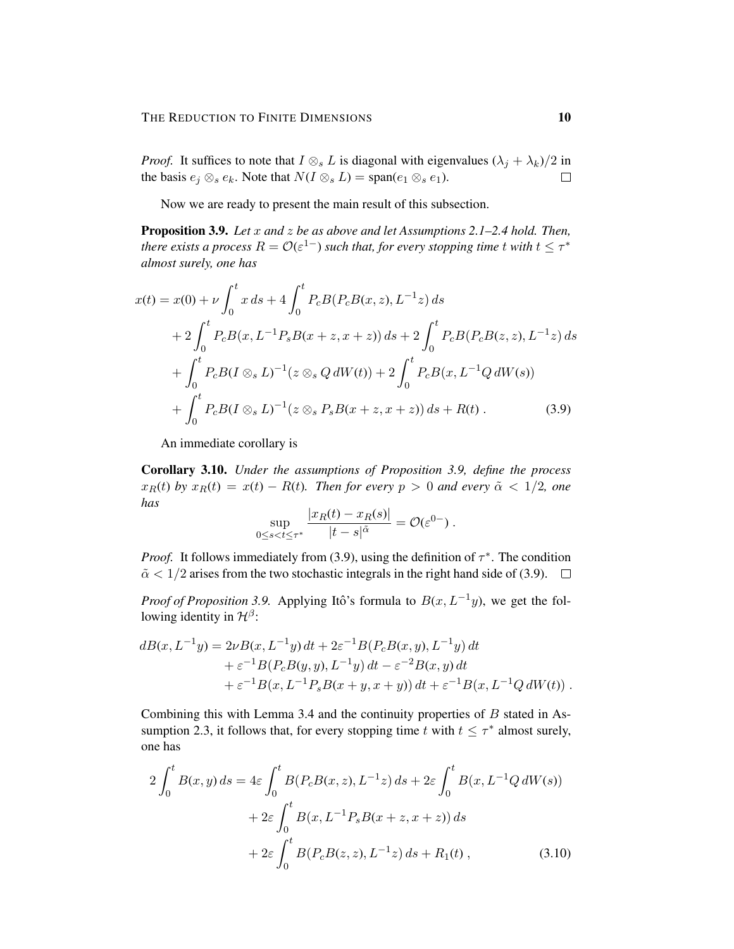*Proof.* It suffices to note that  $I \otimes_s L$  is diagonal with eigenvalues  $(\lambda_j + \lambda_k)/2$  in the basis  $e_j \otimes_s e_k$ . Note that  $N(I \otimes_s L) = \text{span}(e_1 \otimes_s e_1)$ .  $\Box$ 

Now we are ready to present the main result of this subsection.

Proposition 3.9. *Let* x *and* z *be as above and let Assumptions 2.1–2.4 hold. Then,*  $t$ here exists a process  $R = \mathcal{O}(\varepsilon^{1-})$  such that, for every stopping time  $t$  with  $t \leq \tau^*$ *almost surely, one has*

$$
x(t) = x(0) + \nu \int_0^t x \, ds + 4 \int_0^t P_c B(P_c B(x, z), L^{-1} z) \, ds
$$
  
+ 
$$
2 \int_0^t P_c B(x, L^{-1} P_s B(x + z, x + z)) \, ds + 2 \int_0^t P_c B(P_c B(z, z), L^{-1} z) \, ds
$$
  
+ 
$$
\int_0^t P_c B(I \otimes_s L)^{-1} (z \otimes_s Q \, dW(t)) + 2 \int_0^t P_c B(x, L^{-1} Q \, dW(s))
$$
  
+ 
$$
\int_0^t P_c B(I \otimes_s L)^{-1} (z \otimes_s P_s B(x + z, x + z)) \, ds + R(t).
$$
 (3.9)

An immediate corollary is

Corollary 3.10. *Under the assumptions of Proposition 3.9, define the process*  $x_R(t)$  *by*  $x_R(t) = x(t) - R(t)$ *. Then for every*  $p > 0$  *and every*  $\tilde{\alpha} < 1/2$ *, one has*

$$
\sup_{0\leq s
$$

*Proof.* It follows immediately from (3.9), using the definition of  $\tau^*$ . The condition  $\tilde{\alpha}$  < 1/2 arises from the two stochastic integrals in the right hand side of (3.9).  $\Box$ 

*Proof of Proposition 3.9.* Applying Itô's formula to  $B(x, L^{-1}y)$ , we get the following identity in  $\mathcal{H}^{\beta}$ :

$$
dB(x, L^{-1}y) = 2\nu B(x, L^{-1}y) dt + 2\varepsilon^{-1} B(P_c B(x, y), L^{-1}y) dt + \varepsilon^{-1} B(P_c B(y, y), L^{-1}y) dt - \varepsilon^{-2} B(x, y) dt + \varepsilon^{-1} B(x, L^{-1} P_s B(x + y, x + y)) dt + \varepsilon^{-1} B(x, L^{-1} Q dW(t)).
$$

Combining this with Lemma 3.4 and the continuity properties of  $B$  stated in Assumption 2.3, it follows that, for every stopping time t with  $t \leq \tau^*$  almost surely, one has

$$
2\int_0^t B(x, y) ds = 4\varepsilon \int_0^t B(P_c B(x, z), L^{-1} z) ds + 2\varepsilon \int_0^t B(x, L^{-1} Q dW(s))
$$
  
+ 
$$
2\varepsilon \int_0^t B(x, L^{-1} P_s B(x + z, x + z)) ds
$$
  
+ 
$$
2\varepsilon \int_0^t B(P_c B(z, z), L^{-1} z) ds + R_1(t),
$$
 (3.10)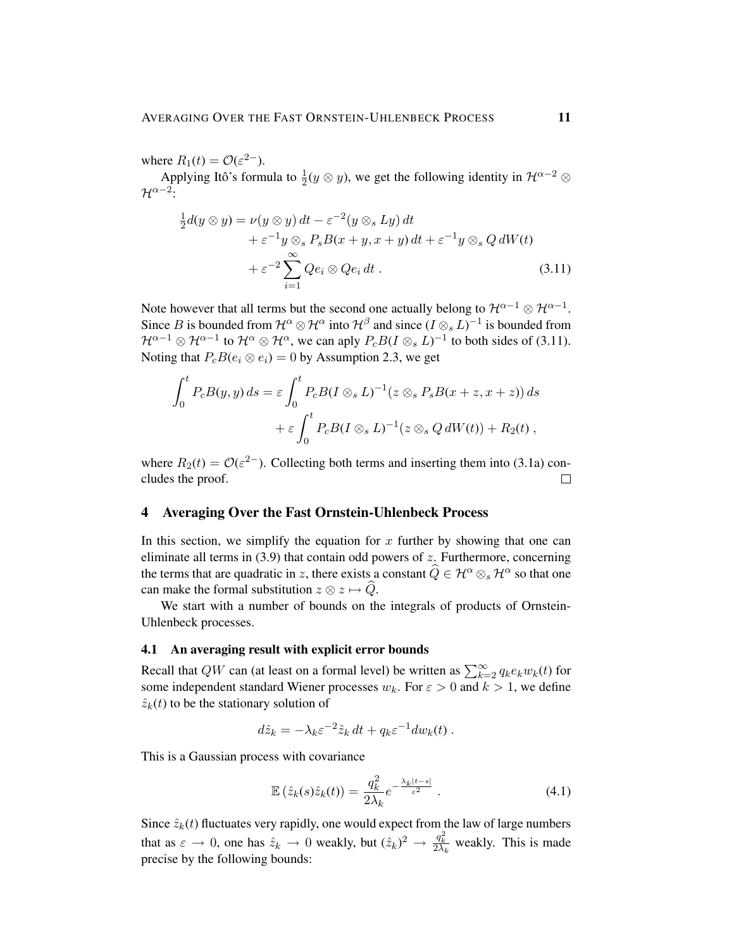where  $R_1(t) = \mathcal{O}(\varepsilon^{2-}).$ 

Applying Itô's formula to  $\frac{1}{2}$  $\frac{1}{2}(y \otimes y)$ , we get the following identity in  $\mathcal{H}^{\alpha-2}$  ⊗  $\mathcal{H}^{\alpha-2}$ :

$$
\frac{1}{2}d(y \otimes y) = \nu(y \otimes y) dt - \varepsilon^{-2}(y \otimes_s Ly) dt \n+ \varepsilon^{-1}y \otimes_s P_s B(x + y, x + y) dt + \varepsilon^{-1}y \otimes_s Q dW(t) \n+ \varepsilon^{-2} \sum_{i=1}^{\infty} Qe_i \otimes Qe_i dt .
$$
\n(3.11)

Note however that all terms but the second one actually belong to  $\mathcal{H}^{\alpha-1}\otimes\mathcal{H}^{\alpha-1}.$ Since B is bounded from  $\mathcal{H}^{\alpha}\otimes\mathcal{H}^{\alpha}$  into  $\mathcal{H}^{\beta}$  and since  $(I\otimes_s L)^{-1}$  is bounded from  $\mathcal{H}^{\alpha-1}\otimes\mathcal{H}^{\alpha-1}$  to  $\mathcal{H}^{\alpha}\otimes\mathcal{H}^{\alpha}$ , we can aply  $P_cB(I\otimes_s L)^{-1}$  to both sides of (3.11). Noting that  $P_cB(e_i \otimes e_i) = 0$  by Assumption 2.3, we get

$$
\int_0^t P_c B(y, y) ds = \varepsilon \int_0^t P_c B(I \otimes_s L)^{-1} (z \otimes_s P_s B(x + z, x + z)) ds
$$
  
+  $\varepsilon \int_0^t P_c B(I \otimes_s L)^{-1} (z \otimes_s Q dW(t)) + R_2(t),$ 

where  $R_2(t) = \mathcal{O}(\varepsilon^{2-})$ . Collecting both terms and inserting them into (3.1a) concludes the proof.  $\Box$ 

# 4 Averaging Over the Fast Ornstein-Uhlenbeck Process

In this section, we simplify the equation for  $x$  further by showing that one can eliminate all terms in  $(3.9)$  that contain odd powers of z. Furthermore, concerning the terms that are quadratic in z, there exists a constant  $\hat{Q} \in \mathcal{H}^{\alpha} \otimes_{s} \mathcal{H}^{\alpha}$  so that one can make the formal substitution  $z \otimes z \mapsto \widehat{Q}$ .

We start with a number of bounds on the integrals of products of Ornstein-Uhlenbeck processes.

# 4.1 An averaging result with explicit error bounds

Recall that QW can (at least on a formal level) be written as  $\sum_{k=2}^{\infty} q_k e_k w_k(t)$  for some independent standard Wiener processes  $w_k$ . For  $\varepsilon > 0$  and  $k > 1$ , we define  $\hat{z}_k(t)$  to be the stationary solution of

$$
d\hat{z}_k = -\lambda_k \varepsilon^{-2} \hat{z}_k dt + q_k \varepsilon^{-1} dw_k(t) .
$$

This is a Gaussian process with covariance

$$
\mathbb{E}\left(\hat{z}_k(s)\hat{z}_k(t)\right) = \frac{q_k^2}{2\lambda_k}e^{-\frac{\lambda_k|t-s|}{\varepsilon^2}}\,. \tag{4.1}
$$

Since  $\hat{z}_k(t)$  fluctuates very rapidly, one would expect from the law of large numbers that as  $\varepsilon \to 0$ , one has  $\hat{z}_k \to 0$  weakly, but  $(\hat{z}_k)^2 \to \frac{q_k^2}{2\lambda_k}$  weakly. This is made precise by the following bounds: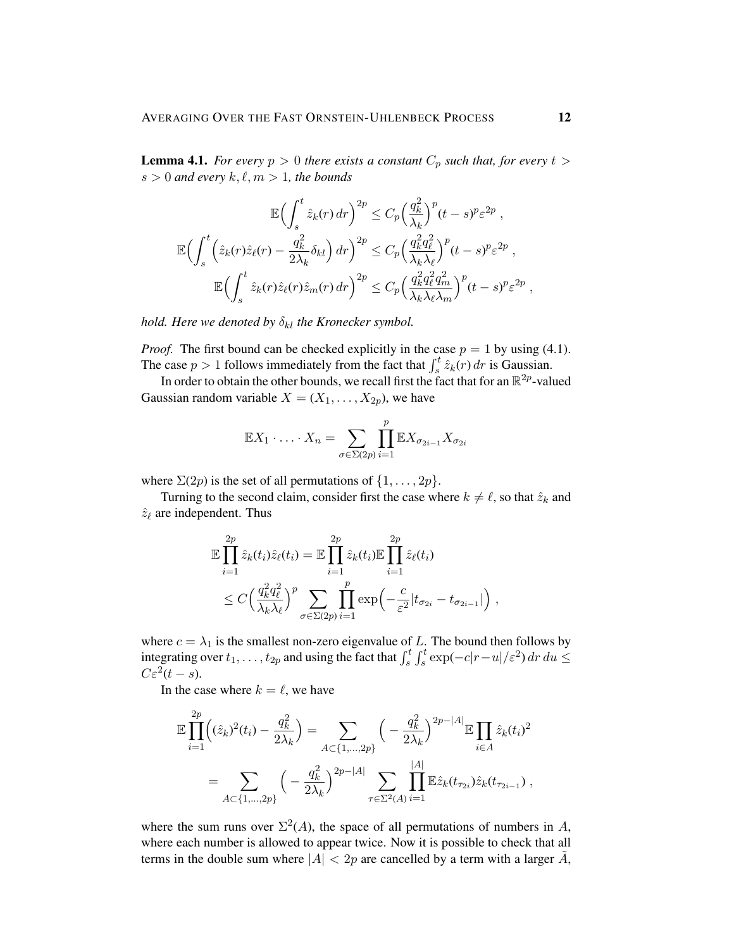**Lemma 4.1.** *For every*  $p > 0$  *there exists a constant*  $C_p$  *such that, for every*  $t >$  $s > 0$  and every  $k, \ell, m > 1$ , the bounds

$$
\mathbb{E}\Big(\int_{s}^{t} \hat{z}_{k}(r) dr\Big)^{2p} \leq C_{p} \Big(\frac{q_{k}^{2}}{\lambda_{k}}\Big)^{p} (t-s)^{p} \varepsilon^{2p} ,
$$
  

$$
\mathbb{E}\Big(\int_{s}^{t} \Big(\hat{z}_{k}(r)\hat{z}_{\ell}(r) - \frac{q_{k}^{2}}{2\lambda_{k}}\delta_{kl}\Big) dr\Big)^{2p} \leq C_{p} \Big(\frac{q_{k}^{2}q_{\ell}^{2}}{\lambda_{k}\lambda_{\ell}}\Big)^{p} (t-s)^{p} \varepsilon^{2p} ,
$$
  

$$
\mathbb{E}\Big(\int_{s}^{t} \hat{z}_{k}(r)\hat{z}_{\ell}(r)\hat{z}_{m}(r) dr\Big)^{2p} \leq C_{p} \Big(\frac{q_{k}^{2}q_{\ell}^{2}q_{m}^{2}}{\lambda_{k}\lambda_{\ell}\lambda_{m}}\Big)^{p} (t-s)^{p} \varepsilon^{2p} ,
$$

*hold. Here we denoted by*  $\delta_{kl}$  *the Kronecker symbol.* 

*Proof.* The first bound can be checked explicitly in the case  $p = 1$  by using (4.1). The case  $p > 1$  follows immediately from the fact that  $\int_s^t \hat{z}_k(r) dr$  is Gaussian.

In order to obtain the other bounds, we recall first the fact that for an  $\mathbb{R}^{2p}$ -valued Gaussian random variable  $X = (X_1, \ldots, X_{2p})$ , we have

$$
\mathbb{E}X_1\cdot\ldots\cdot X_n=\sum_{\sigma\in\Sigma(2p)}\prod_{i=1}^p\mathbb{E}X_{\sigma_{2i-1}}X_{\sigma_{2i}}
$$

where  $\Sigma(2p)$  is the set of all permutations of  $\{1,\ldots,2p\}$ .

Turning to the second claim, consider first the case where  $k \neq \ell$ , so that  $\hat{z}_k$  and  $\hat{z}_{\ell}$  are independent. Thus

$$
\mathbb{E}\prod_{i=1}^{2p}\hat{z}_k(t_i)\hat{z}_\ell(t_i) = \mathbb{E}\prod_{i=1}^{2p}\hat{z}_k(t_i)\mathbb{E}\prod_{i=1}^{2p}\hat{z}_\ell(t_i) \n\leq C\Big(\frac{q_k^2q_\ell^2}{\lambda_k\lambda_\ell}\Big)^p \sum_{\sigma\in\Sigma(2p)}\prod_{i=1}^p\exp\Big(-\frac{c}{\varepsilon^2}|t_{\sigma_{2i}}-t_{\sigma_{2i-1}}|\Big),
$$

where  $c = \lambda_1$  is the smallest non-zero eigenvalue of L. The bound then follows by integrating over  $t_1, \ldots, t_{2p}$  and using the fact that  $\int_s^t \int_s^t \exp(-c|r-u|/\varepsilon^2) dr du \le$  $C\varepsilon^2(t-s).$ 

In the case where  $k = \ell$ , we have

$$
\mathbb{E}\prod_{i=1}^{2p} \left( (\hat{z}_k)^2(t_i) - \frac{q_k^2}{2\lambda_k} \right) = \sum_{A \subset \{1,\dots,2p\}} \left( -\frac{q_k^2}{2\lambda_k} \right)^{2p-|A|} \mathbb{E}\prod_{i\in A} \hat{z}_k(t_i)^2
$$

$$
= \sum_{A \subset \{1,\dots,2p\}} \left( -\frac{q_k^2}{2\lambda_k} \right)^{2p-|A|} \sum_{\tau \in \Sigma^2(A)} \prod_{i=1}^{|A|} \mathbb{E}\hat{z}_k(t_{\tau_{2i}}) \hat{z}_k(t_{\tau_{2i-1}}) ,
$$

where the sum runs over  $\Sigma^2(A)$ , the space of all permutations of numbers in A, where each number is allowed to appear twice. Now it is possible to check that all terms in the double sum where  $|A| < 2p$  are cancelled by a term with a larger  $\tilde{A}$ ,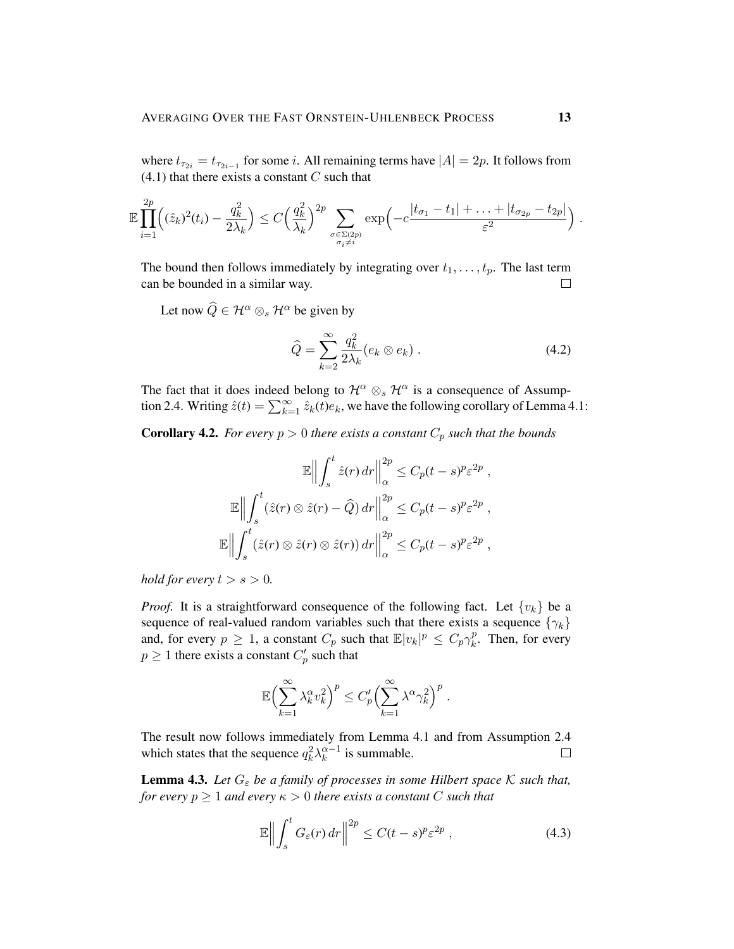where  $t_{\tau_{2i}} = t_{\tau_{2i-1}}$  for some *i*. All remaining terms have  $|A| = 2p$ . It follows from  $(4.1)$  that there exists a constant C such that

$$
\mathbb{E}\prod_{i=1}^{2p} \left( (\hat{z}_k)^2(t_i) - \frac{q_k^2}{2\lambda_k} \right) \le C \left( \frac{q_k^2}{\lambda_k} \right)^{2p} \sum_{\substack{\sigma \in \Sigma(2p) \\ \sigma_i \neq i}} \exp\left( -c \frac{|t_{\sigma_1} - t_1| + \ldots + |t_{\sigma_{2p}} - t_{2p}|}{\varepsilon^2} \right)
$$

The bound then follows immediately by integrating over  $t_1, \ldots, t_p$ . The last term can be bounded in a similar way.  $\Box$ 

Let now  $\widehat{Q} \in \mathcal{H}^{\alpha} \otimes_{s} \mathcal{H}^{\alpha}$  be given by

$$
\widehat{Q} = \sum_{k=2}^{\infty} \frac{q_k^2}{2\lambda_k} (e_k \otimes e_k) . \tag{4.2}
$$

The fact that it does indeed belong to  $\mathcal{H}^{\alpha} \otimes_{s} \mathcal{H}^{\alpha}$  is a consequence of Assumption 2.4. Writing  $\hat{z}(t) = \sum_{k=1}^{\infty} \hat{z}_k(t) e_k$ , we have the following corollary of Lemma 4.1:

**Corollary 4.2.** *For every*  $p > 0$  *there exists a constant*  $C_p$  *such that the bounds* 

$$
\mathbb{E}\Big\|\int_{s}^{t} \hat{z}(r) dr \Big\|_{\alpha}^{2p} \leq C_p(t-s)^p \varepsilon^{2p} ,
$$

$$
\mathbb{E}\Big\|\int_{s}^{t} (\hat{z}(r) \otimes \hat{z}(r) - \widehat{Q}) dr \Big\|_{\alpha}^{2p} \leq C_p(t-s)^p \varepsilon^{2p} ,
$$

$$
\mathbb{E}\Big\|\int_{s}^{t} (\hat{z}(r) \otimes \hat{z}(r) \otimes \hat{z}(r)) dr \Big\|_{\alpha}^{2p} \leq C_p(t-s)^p \varepsilon^{2p} ,
$$

*hold for every*  $t > s > 0$ *.* 

*Proof.* It is a straightforward consequence of the following fact. Let  $\{v_k\}$  be a sequence of real-valued random variables such that there exists a sequence  $\{\gamma_k\}$ and, for every  $p \geq 1$ , a constant  $C_p$  such that  $\mathbb{E}|v_k|^p \leq C_p \gamma_k^p$  $k<sup>p</sup>$ . Then, for every  $p \geq 1$  there exists a constant  $C_p'$  such that

$$
\mathbb{E}\left(\sum_{k=1}^{\infty} \lambda_k^{\alpha} v_k^2\right)^p \le C'_p \left(\sum_{k=1}^{\infty} \lambda^{\alpha} \gamma_k^2\right)^p.
$$

The result now follows immediately from Lemma 4.1 and from Assumption 2.4 which states that the sequence  $q_k^2 \lambda_k^{\alpha-1}$  $\frac{\alpha-1}{k}$  is summable.  $\Box$ 

**Lemma 4.3.** Let  $G_{\varepsilon}$  be a family of processes in some Hilbert space  $K$  such that, *for every*  $p \geq 1$  *and every*  $\kappa > 0$  *there exists a constant* C *such that* 

$$
\mathbb{E}\Big\|\int_{s}^{t}G_{\varepsilon}(r)\,dr\Big\|^{2p}\leq C(t-s)^{p}\varepsilon^{2p}\,,\tag{4.3}
$$

.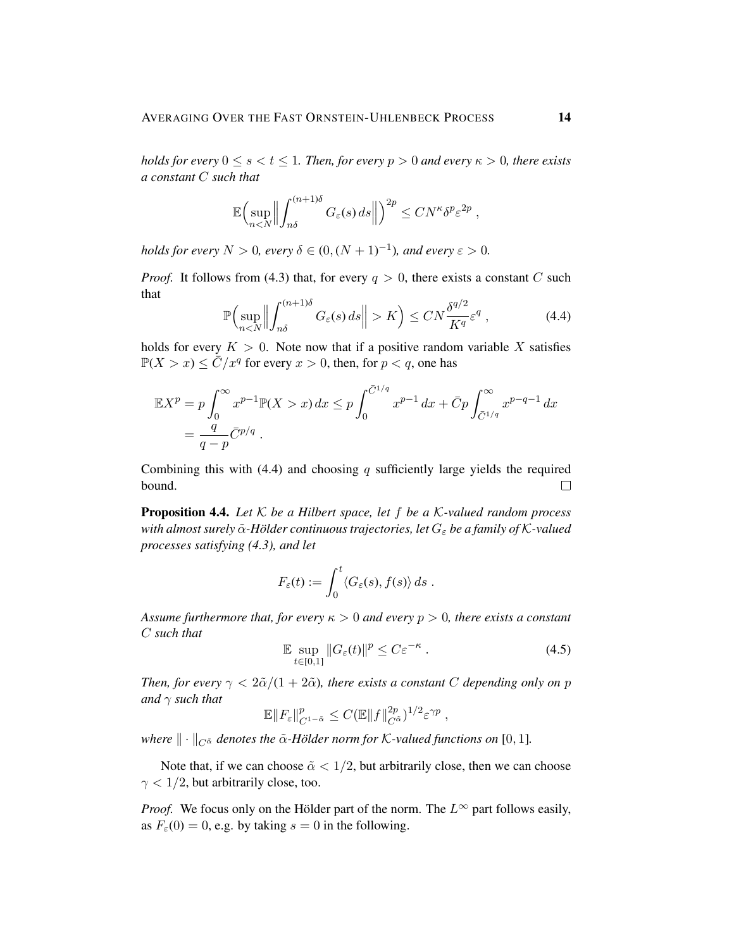*holds for every*  $0 \le s < t \le 1$ *. Then, for every*  $p > 0$  *and every*  $\kappa > 0$ *, there exists a constant* C *such that*

$$
\mathbb{E}\Bigl(\sup_{n
$$

*holds for every*  $N > 0$ , every  $\delta \in (0, (N + 1)^{-1})$ , and every  $\varepsilon > 0$ .

*Proof.* It follows from (4.3) that, for every  $q > 0$ , there exists a constant C such that

$$
\mathbb{P}\Big(\sup_{nK\Big) \leq CN\frac{\delta^{q/2}}{K^q} \varepsilon^q\;, \tag{4.4}
$$

holds for every  $K > 0$ . Note now that if a positive random variable X satisfies  $\mathbb{P}(X > x) \leq \overline{C}/x^q$  for every  $x > 0$ , then, for  $p < q$ , one has

$$
\mathbb{E}X^{p} = p \int_{0}^{\infty} x^{p-1} \mathbb{P}(X > x) dx \le p \int_{0}^{\bar{C}^{1/q}} x^{p-1} dx + \bar{C}p \int_{\bar{C}^{1/q}}^{\infty} x^{p-q-1} dx
$$
  
=  $\frac{q}{q-p} \bar{C}^{p/q}$ .

Combining this with (4.4) and choosing  $q$  sufficiently large yields the required bound.  $\Box$ 

Proposition 4.4. *Let* K *be a Hilbert space, let* f *be a* K*-valued random process with almost surely*  $\tilde{\alpha}$ *-Hölder continuous trajectories, let*  $G_{\varepsilon}$  *be a family of K-valued processes satisfying (4.3), and let*

$$
F_{\varepsilon}(t) := \int_0^t \langle G_{\varepsilon}(s), f(s) \rangle ds.
$$

*Assume furthermore that, for every*  $\kappa > 0$  *and every*  $p > 0$ *, there exists a constant* C *such that*

$$
\mathbb{E} \sup_{t \in [0,1]} \|G_{\varepsilon}(t)\|^p \le C \varepsilon^{-\kappa} \,. \tag{4.5}
$$

*Then, for every*  $\gamma < 2\tilde{\alpha}/(1+2\tilde{\alpha})$ *, there exists a constant C depending only on p and* γ *such that*

$$
\mathbb{E} \|F_{\varepsilon}\|_{C^{1-\tilde{\alpha}}}^p \leq C (\mathbb{E} \|f\|_{C^{\tilde{\alpha}}}^{2p})^{1/2} \varepsilon^{\gamma p} ,
$$

*where*  $\|\cdot\|_{C^{\tilde{\alpha}}}$  *denotes the*  $\tilde{\alpha}$ *-Hölder norm for K*-valued functions on [0, 1]*.* 

Note that, if we can choose  $\tilde{\alpha} < 1/2$ , but arbitrarily close, then we can choose  $\gamma$  < 1/2, but arbitrarily close, too.

*Proof.* We focus only on the Hölder part of the norm. The  $L^{\infty}$  part follows easily, as  $F<sub>\epsilon</sub>(0) = 0$ , e.g. by taking  $s = 0$  in the following.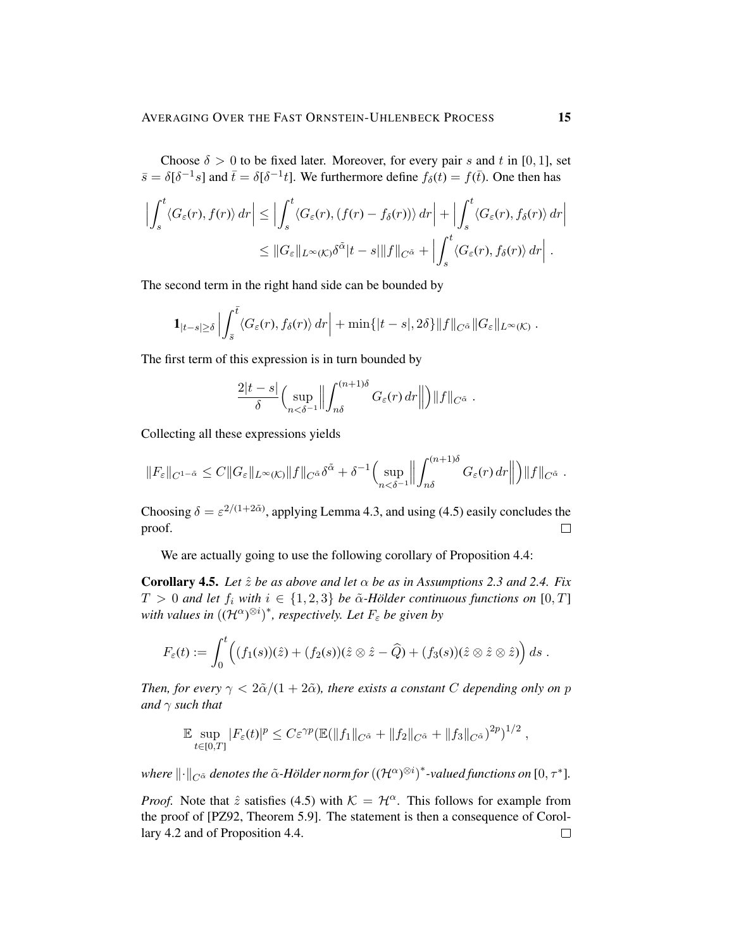Choose  $\delta > 0$  to be fixed later. Moreover, for every pair s and t in [0, 1], set  $\bar{s} = \delta[\delta^{-1}s]$  and  $\bar{t} = \delta[\delta^{-1}t]$ . We furthermore define  $f_{\delta}(t) = f(\bar{t})$ . One then has

$$
\left| \int_{s}^{t} \langle G_{\varepsilon}(r), f(r) \rangle dr \right| \leq \left| \int_{s}^{t} \langle G_{\varepsilon}(r), (f(r) - f_{\delta}(r)) \rangle dr \right| + \left| \int_{s}^{t} \langle G_{\varepsilon}(r), f_{\delta}(r) \rangle dr \right|
$$
  

$$
\leq \| G_{\varepsilon} \|_{L^{\infty}(\mathcal{K})} \delta^{\tilde{\alpha}} |t - s| \| f \|_{C^{\tilde{\alpha}}} + \left| \int_{s}^{t} \langle G_{\varepsilon}(r), f_{\delta}(r) \rangle dr \right|.
$$

The second term in the right hand side can be bounded by

$$
\mathbf{1}_{|t-s|\geq \delta}\left|\int_{\bar{s}}^{\bar{t}}\langle G_{\varepsilon}(r),f_{\delta}(r)\rangle dr\right|+\min\{|t-s|,2\delta\}\|f\|_{C^{\tilde{\alpha}}}\|G_{\varepsilon}\|_{L^{\infty}(\mathcal{K})}.
$$

The first term of this expression is in turn bounded by

$$
\frac{2|t-s|}{\delta}\Big(\sup_{n<\delta^{-1}}\Big\|\int_{n\delta}^{(n+1)\delta}G_{\varepsilon}(r)\,dr\Big\|\Big)\|f\|_{C^{\tilde{\alpha}}}.
$$

Collecting all these expressions yields

$$
||F_{\varepsilon}||_{C^{1-\tilde{\alpha}}} \leq C||G_{\varepsilon}||_{L^{\infty}(\mathcal{K})}||f||_{C^{\tilde{\alpha}}}\delta^{\tilde{\alpha}} + \delta^{-1}\Big(\sup_{n<\delta^{-1}}\Big|\Big|\int_{n\delta}^{(n+1)\delta}G_{\varepsilon}(r) dr \Big|\Big|\Big)||f||_{C^{\tilde{\alpha}}}.
$$

Choosing  $\delta = \varepsilon^{2/(1+2\tilde{\alpha})}$ , applying Lemma 4.3, and using (4.5) easily concludes the proof.  $\Box$ 

We are actually going to use the following corollary of Proposition 4.4:

**Corollary 4.5.** *Let*  $\hat{z}$  *be as above and let*  $\alpha$  *be as in Assumptions 2.3 and 2.4. Fix*  $T > 0$  and let  $f_i$  with  $i \in \{1,2,3\}$  be  $\tilde{\alpha}$ -Hölder continuous functions on  $[0,T]$ with values in  $((\mathcal{H}^{\alpha})^{\otimes i})^*$ , respectively. Let  $F_{\varepsilon}$  be given by

$$
F_{\varepsilon}(t):=\int_0^t \Bigl((f_1(s))(\hat z)+(f_2(s))(\hat z\otimes \hat z-\widehat Q)+(f_3(s))(\hat z\otimes \hat z\otimes \hat z)\Bigr)\,ds\;.
$$

*Then, for every*  $\gamma < 2\tilde{\alpha}/(1+2\tilde{\alpha})$ *, there exists a constant C depending only on p and* γ *such that*

$$
\mathbb{E}\sup_{t\in[0,T]}|F_{\varepsilon}(t)|^p\leq C\varepsilon^{\gamma p}(\mathbb{E}(\|f_1\|_{C^{\tilde{\alpha}}}+\|f_2\|_{C^{\tilde{\alpha}}}+\|f_3\|_{C^{\tilde{\alpha}}})^{2p})^{1/2},
$$

where  $\|\cdot\|_{C^{\tilde\alpha}}$  denotes the  $\tilde\alpha$ -Hölder norm for  $((\mathcal{H}^{\alpha})^{\otimes i})^*$ -valued functions on  $[0,\tau^*].$ 

*Proof.* Note that  $\hat{z}$  satisfies (4.5) with  $K = H^{\alpha}$ . This follows for example from the proof of [PZ92, Theorem 5.9]. The statement is then a consequence of Corollary 4.2 and of Proposition 4.4. $\Box$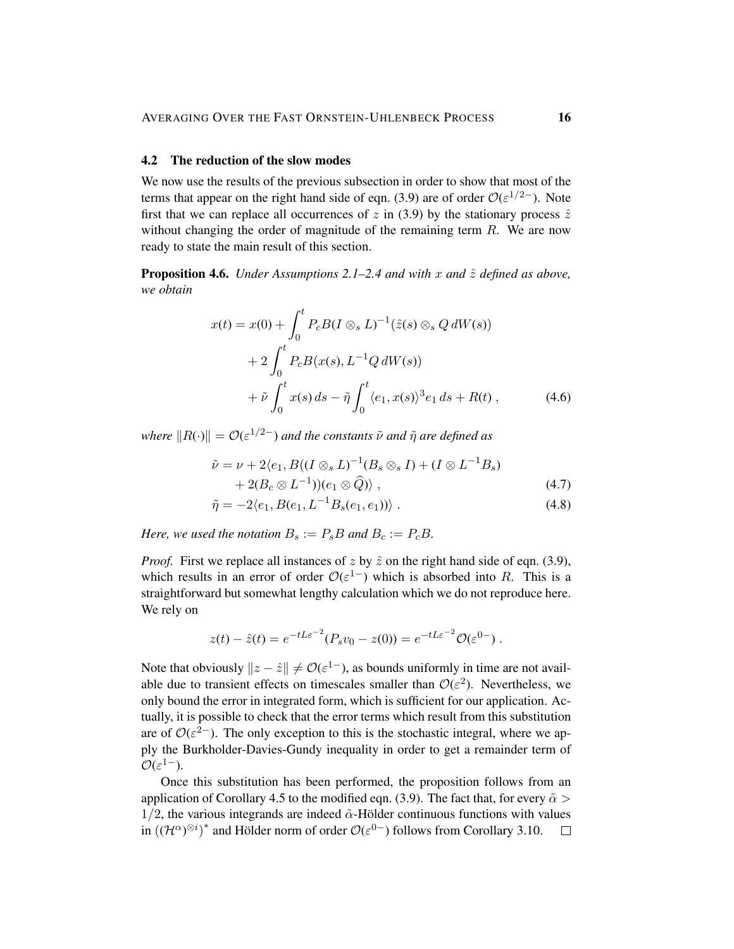### 4.2 The reduction of the slow modes

We now use the results of the previous subsection in order to show that most of the terms that appear on the right hand side of eqn. (3.9) are of order  $O(\varepsilon^{1/2-})$ . Note first that we can replace all occurrences of z in (3.9) by the stationary process  $\hat{z}$ without changing the order of magnitude of the remaining term  $R$ . We are now ready to state the main result of this section.

**Proposition 4.6.** *Under Assumptions 2.1–2.4 and with* x and  $\hat{z}$  *defined as above, we obtain*

$$
x(t) = x(0) + \int_0^t P_c B (I \otimes_s L)^{-1} (\hat{z}(s) \otimes_s Q dW(s))
$$
  
+ 
$$
2 \int_0^t P_c B(x(s), L^{-1} Q dW(s))
$$
  
+ 
$$
\tilde{\nu} \int_0^t x(s) ds - \tilde{\eta} \int_0^t \langle e_1, x(s) \rangle^3 e_1 ds + R(t) , \qquad (4.6)
$$

*where*  $||R(\cdot)|| = \mathcal{O}(\varepsilon^{1/2-})$  *and the constants*  $\tilde{\nu}$  *and*  $\tilde{\eta}$  *are defined as* 

$$
\tilde{\nu} = \nu + 2\langle e_1, B((I \otimes_s L)^{-1}(B_s \otimes_s I) + (I \otimes L^{-1}B_s) + 2(B_c \otimes L^{-1})) (e_1 \otimes \widehat{Q}) \rangle , \qquad (4.7)
$$

$$
\tilde{\eta} = -2\langle e_1, B(e_1, L^{-1}B_s(e_1, e_1)) \rangle . \tag{4.8}
$$

*Here, we used the notation*  $B_s := P_s B$  *and*  $B_c := P_c B$ .

*Proof.* First we replace all instances of z by  $\hat{z}$  on the right hand side of eqn. (3.9), which results in an error of order  $\mathcal{O}(\varepsilon^{1-})$  which is absorbed into R. This is a straightforward but somewhat lengthy calculation which we do not reproduce here. We rely on

$$
z(t) - \hat{z}(t) = e^{-tL\varepsilon^{-2}} (P_s v_0 - z(0)) = e^{-tL\varepsilon^{-2}} \mathcal{O}(\varepsilon^{0-}) \ .
$$

Note that obviously  $||z - \hat{z}|| \neq \mathcal{O}(\varepsilon^{1-})$ , as bounds uniformly in time are not available due to transient effects on timescales smaller than  $\mathcal{O}(\varepsilon^2)$ . Nevertheless, we only bound the error in integrated form, which is sufficient for our application. Actually, it is possible to check that the error terms which result from this substitution are of  $O(\varepsilon^{2})$ . The only exception to this is the stochastic integral, where we apply the Burkholder-Davies-Gundy inequality in order to get a remainder term of  $\mathcal{O}(\varepsilon^{1-}).$ 

Once this substitution has been performed, the proposition follows from an application of Corollary 4.5 to the modified eqn. (3.9). The fact that, for every  $\tilde{\alpha}$  $1/2$ , the various integrands are indeed  $\tilde{\alpha}$ -Hölder continuous functions with values in  $((\mathcal{H}^{\alpha})^{\otimes i})^*$  and Hölder norm of order  $\mathcal{O}(\varepsilon^{0-})$  follows from Corollary 3.10.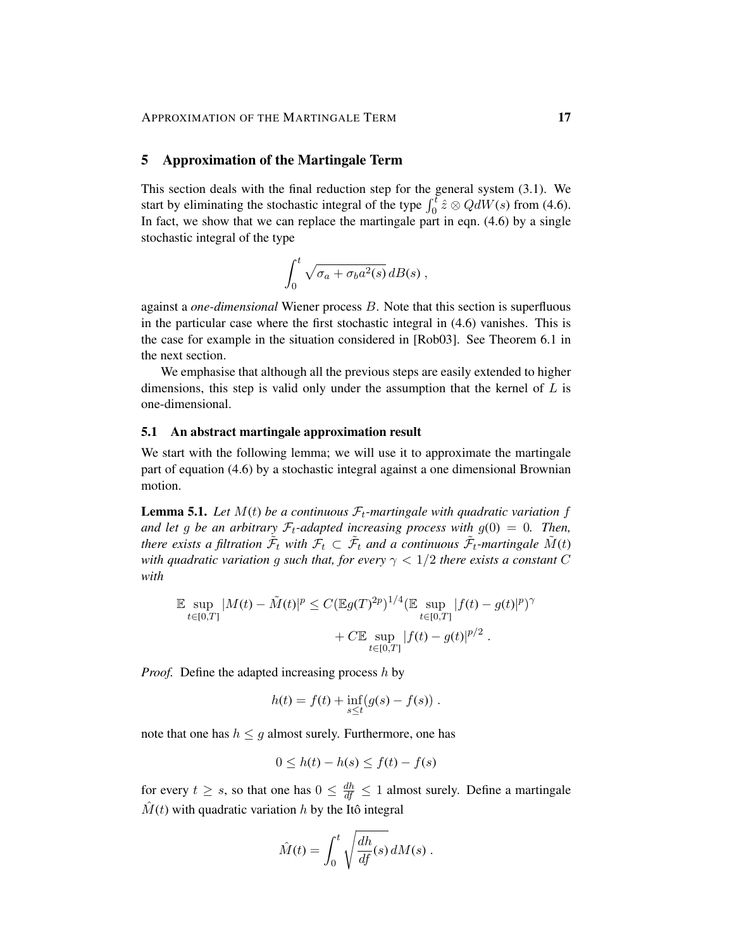### 5 Approximation of the Martingale Term

This section deals with the final reduction step for the general system (3.1). We start by eliminating the stochastic integral of the type  $\int_0^t \hat{z} \otimes \overline{QdW(s)}$  from (4.6). In fact, we show that we can replace the martingale part in eqn. (4.6) by a single stochastic integral of the type

$$
\int_0^t \sqrt{\sigma_a + \sigma_b a^2(s)}\, dB(s) ,
$$

against a *one-dimensional* Wiener process B. Note that this section is superfluous in the particular case where the first stochastic integral in (4.6) vanishes. This is the case for example in the situation considered in [Rob03]. See Theorem 6.1 in the next section.

We emphasise that although all the previous steps are easily extended to higher dimensions, this step is valid only under the assumption that the kernel of  $L$  is one-dimensional.

#### 5.1 An abstract martingale approximation result

We start with the following lemma; we will use it to approximate the martingale part of equation (4.6) by a stochastic integral against a one dimensional Brownian motion.

**Lemma 5.1.** Let  $M(t)$  be a continuous  $\mathcal{F}_t$ -martingale with quadratic variation f and let g be an arbitrary  $\mathcal{F}_t$ -adapted increasing process with  $g(0) = 0$ . Then, there exists a filtration  $\tilde{F}_t$  with  $\mathcal{F}_t \subset \tilde{\mathcal{F}}_t$  and a continuous  $\tilde{\mathcal{F}}_t$ -martingale  $\tilde{M}(t)$ *with quadratic variation g such that, for every*  $\gamma < 1/2$  *there exists a constant* C *with*

$$
\mathbb{E} \sup_{t \in [0,T]} |M(t) - \tilde{M}(t)|^p \le C (\mathbb{E}g(T)^{2p})^{1/4} (\mathbb{E} \sup_{t \in [0,T]} |f(t) - g(t)|^p)^{\gamma} + C \mathbb{E} \sup_{t \in [0,T]} |f(t) - g(t)|^{p/2} .
$$

*Proof.* Define the adapted increasing process h by

$$
h(t) = f(t) + \inf_{s \le t} (g(s) - f(s)).
$$

note that one has  $h \leq g$  almost surely. Furthermore, one has

$$
0 \le h(t) - h(s) \le f(t) - f(s)
$$

for every  $t \geq s$ , so that one has  $0 \leq \frac{dh}{df} \leq 1$  almost surely. Define a martingale  $\hat{M}(t)$  with quadratic variation h by the Itô integral

$$
\hat{M}(t) = \int_0^t \sqrt{\frac{dh}{df}(s)} dM(s) .
$$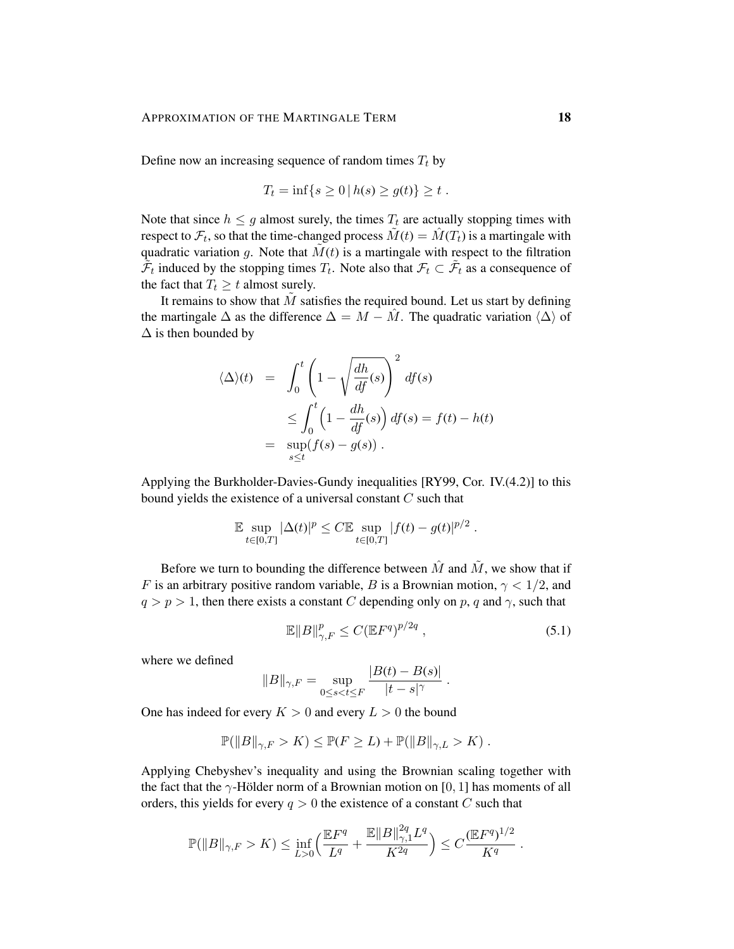Define now an increasing sequence of random times  $T_t$  by

$$
T_t = \inf\{s \ge 0 \,|\, h(s) \ge g(t)\} \ge t.
$$

Note that since  $h \leq g$  almost surely, the times  $T_t$  are actually stopping times with respect to  $\mathcal{F}_t$ , so that the time-changed process  $\tilde{M}(t) = \hat{M}(T_t)$  is a martingale with quadratic variation g. Note that  $\tilde{M}(t)$  is a martingale with respect to the filtration  $\tilde{\mathcal{F}}_t$  induced by the stopping times  $T_t$ . Note also that  $\mathcal{F}_t \subset \tilde{\mathcal{F}}_t$  as a consequence of the fact that  $T_t \geq t$  almost surely.

It remains to show that  $M$  satisfies the required bound. Let us start by defining the martingale  $\Delta$  as the difference  $\Delta = M - \hat{M}$ . The quadratic variation  $\langle \Delta \rangle$  of  $\Delta$  is then bounded by

$$
\langle \Delta \rangle(t) = \int_0^t \left( 1 - \sqrt{\frac{dh}{df}(s)} \right)^2 df(s)
$$
  

$$
\leq \int_0^t \left( 1 - \frac{dh}{df}(s) \right) df(s) = f(t) - h(t)
$$
  

$$
= \sup_{s \leq t} (f(s) - g(s)).
$$

Applying the Burkholder-Davies-Gundy inequalities [RY99, Cor. IV.(4.2)] to this bound yields the existence of a universal constant C such that

$$
\mathbb{E} \sup_{t \in [0,T]} |\Delta(t)|^p \le C \mathbb{E} \sup_{t \in [0,T]} |f(t) - g(t)|^{p/2} .
$$

Before we turn to bounding the difference between  $\hat{M}$  and  $\tilde{M}$ , we show that if F is an arbitrary positive random variable, B is a Brownian motion,  $\gamma < 1/2$ , and  $q > p > 1$ , then there exists a constant C depending only on p, q and  $\gamma$ , such that

$$
\mathbb{E}||B||_{\gamma,F}^p \le C(\mathbb{E}F^q)^{p/2q} \,,\tag{5.1}
$$

where we defined

$$
||B||_{\gamma,F} = \sup_{0 \le s < t \le F} \frac{|B(t) - B(s)|}{|t - s|^{\gamma}}.
$$

One has indeed for every  $K > 0$  and every  $L > 0$  the bound

$$
\mathbb{P}(\|B\|_{\gamma,F} > K) \le \mathbb{P}(F \ge L) + \mathbb{P}(\|B\|_{\gamma,L} > K).
$$

Applying Chebyshev's inequality and using the Brownian scaling together with the fact that the  $\gamma$ -Hölder norm of a Brownian motion on [0, 1] has moments of all orders, this yields for every  $q > 0$  the existence of a constant C such that

$$
\mathbb{P}(\|B\|_{\gamma,F} > K) \le \inf_{L>0} \left( \frac{\mathbb{E} F^q}{L^q} + \frac{\mathbb{E} \|B\|_{\gamma,1}^{2q} L^q}{K^{2q}} \right) \le C \frac{(\mathbb{E} F^q)^{1/2}}{K^q}.
$$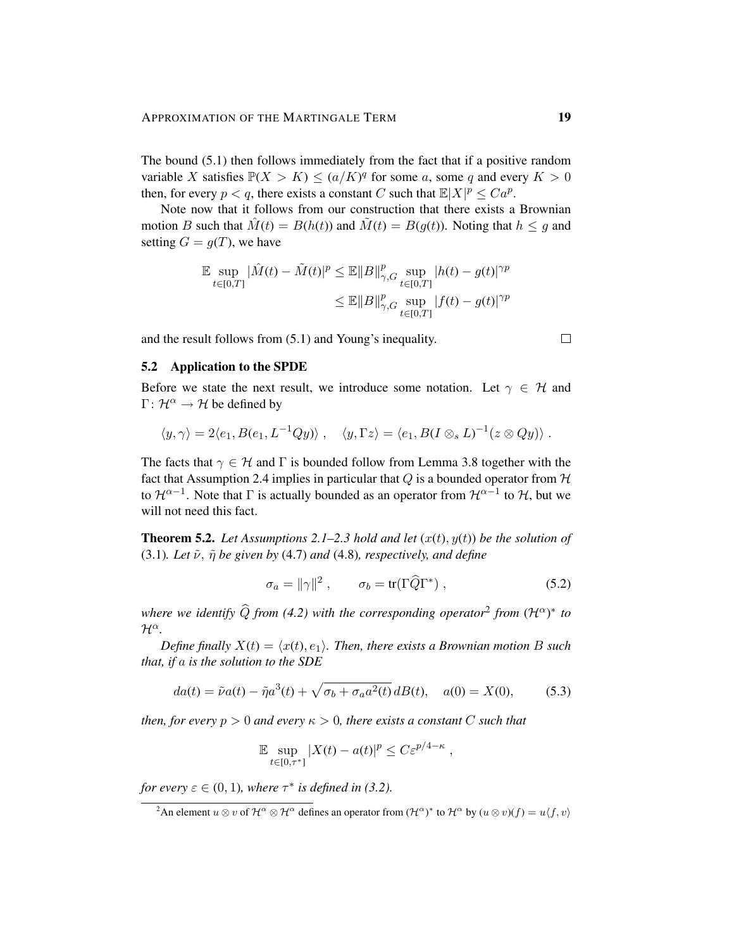The bound (5.1) then follows immediately from the fact that if a positive random variable X satisfies  $P(X > K) \leq (a/K)^q$  for some a, some q and every  $K > 0$ then, for every  $p < q$ , there exists a constant C such that  $\mathbb{E}|X|^p \leq Ca^p$ .

Note now that it follows from our construction that there exists a Brownian motion B such that  $\hat{M}(t) = B(h(t))$  and  $\tilde{M}(t) = B(g(t))$ . Noting that  $h \leq g$  and setting  $G = g(T)$ , we have

$$
\mathbb{E} \sup_{t \in [0,T]} |\hat{M}(t) - \tilde{M}(t)|^p \le \mathbb{E} ||B||_{\gamma,G}^p \sup_{t \in [0,T]} |h(t) - g(t)|^{\gamma p} \le \mathbb{E} ||B||_{\gamma,G}^p \sup_{t \in [0,T]} |f(t) - g(t)|^{\gamma p}
$$

and the result follows from (5.1) and Young's inequality.

#### 5.2 Application to the SPDE

Before we state the next result, we introduce some notation. Let  $\gamma \in \mathcal{H}$  and  $\Gamma: \mathcal{H}^{\alpha} \to \mathcal{H}$  be defined by

$$
\langle y, \gamma \rangle = 2 \langle e_1, B(e_1, L^{-1}Qy) \rangle , \quad \langle y, \Gamma z \rangle = \langle e_1, B(I \otimes_s L)^{-1}(z \otimes Qy) \rangle .
$$

The facts that  $\gamma \in \mathcal{H}$  and  $\Gamma$  is bounded follow from Lemma 3.8 together with the fact that Assumption 2.4 implies in particular that  $Q$  is a bounded operator from  $H$ to  $\mathcal{H}^{\alpha-1}$ . Note that  $\Gamma$  is actually bounded as an operator from  $\mathcal{H}^{\alpha-1}$  to  $\mathcal{H}$ , but we will not need this fact.

**Theorem 5.2.** Let Assumptions 2.1–2.3 hold and let  $(x(t), y(t))$  be the solution of (3.1)*. Let*  $\tilde{\nu}$ ,  $\tilde{\eta}$  *be given by* (4.7) *and* (4.8)*, respectively, and define* 

$$
\sigma_a = ||\gamma||^2 \,, \qquad \sigma_b = \text{tr}(\Gamma \widehat{Q} \Gamma^*) \,, \tag{5.2}
$$

*where we identify*  $\widehat{Q}$  *from* (4.2) with the corresponding operator<sup>2</sup> from  $({\cal H}^{\alpha})^*$  to  $\mathcal{H}^{\alpha}$ .

*Define finally*  $X(t) = \langle x(t), e_1 \rangle$ *. Then, there exists a Brownian motion B such that, if* a *is the solution to the SDE*

$$
da(t) = \tilde{\nu}a(t) - \tilde{\eta}a^{3}(t) + \sqrt{\sigma_{b} + \sigma_{a}a^{2}(t)} dB(t), \quad a(0) = X(0), \tag{5.3}
$$

*then, for every*  $p > 0$  *and every*  $\kappa > 0$ *, there exists a constant* C *such that* 

$$
\mathbb{E} \sup_{t \in [0,\tau^*]} |X(t) - a(t)|^p \leq C \varepsilon^{p/4 - \kappa} ,
$$

*for every*  $\varepsilon \in (0,1)$ *, where*  $\tau^*$  *is defined in* (3.2).

 $\Box$ 

<sup>&</sup>lt;sup>2</sup>An element  $u \otimes v$  of  $\mathcal{H}^{\alpha} \otimes \mathcal{H}^{\alpha}$  defines an operator from  $(\mathcal{H}^{\alpha})^*$  to  $\mathcal{H}^{\alpha}$  by  $(u \otimes v)(f) = u\langle f, v \rangle$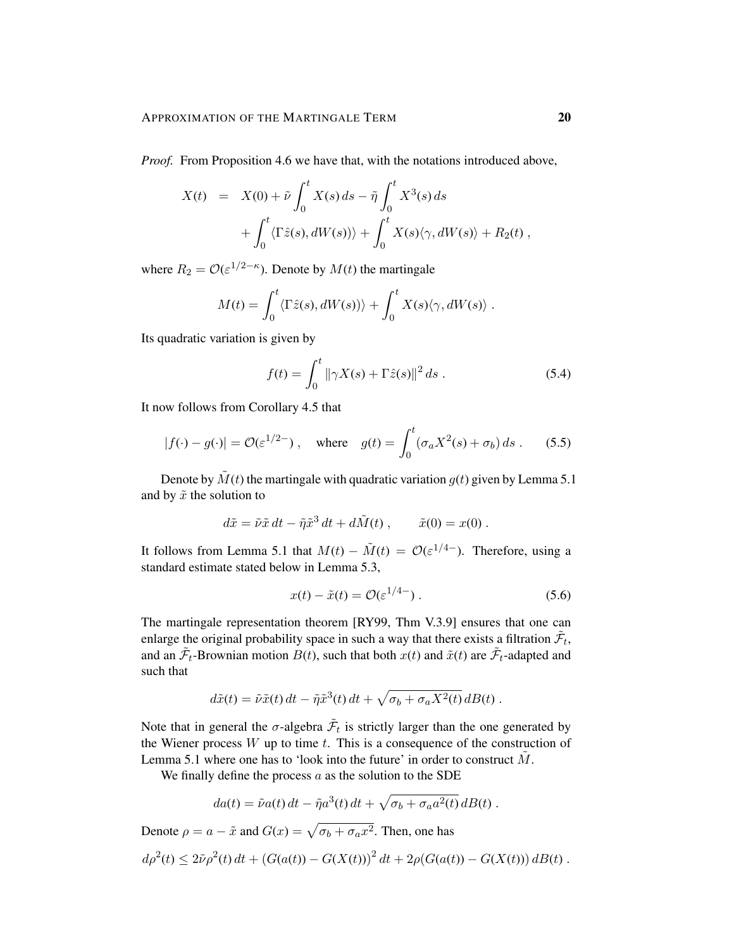*Proof.* From Proposition 4.6 we have that, with the notations introduced above,

$$
X(t) = X(0) + \tilde{\nu} \int_0^t X(s) ds - \tilde{\eta} \int_0^t X^3(s) ds
$$
  
+ 
$$
\int_0^t \langle \Gamma \tilde{z}(s), dW(s) \rangle + \int_0^t X(s) \langle \gamma, dW(s) \rangle + R_2(t) ,
$$

where  $R_2 = \mathcal{O}(\varepsilon^{1/2-\kappa})$ . Denote by  $M(t)$  the martingale

$$
M(t) = \int_0^t \langle \Gamma \hat{z}(s), dW(s) \rangle \rangle + \int_0^t X(s) \langle \gamma, dW(s) \rangle.
$$

Its quadratic variation is given by

$$
f(t) = \int_0^t \|\gamma X(s) + \Gamma \hat{z}(s)\|^2 ds .
$$
 (5.4)

It now follows from Corollary 4.5 that

$$
|f(\cdot) - g(\cdot)| = \mathcal{O}(\varepsilon^{1/2-})
$$
, where  $g(t) = \int_0^t (\sigma_a X^2(s) + \sigma_b) ds$ . (5.5)

Denote by  $\tilde{M}(t)$  the martingale with quadratic variation  $g(t)$  given by Lemma 5.1 and by  $\tilde{x}$  the solution to

$$
d\tilde{x} = \tilde{\nu}\tilde{x} dt - \tilde{\eta}\tilde{x}^3 dt + d\tilde{M}(t) , \qquad \tilde{x}(0) = x(0) .
$$

It follows from Lemma 5.1 that  $M(t) - \tilde{M}(t) = \mathcal{O}(\varepsilon^{1/4})$ . Therefore, using a standard estimate stated below in Lemma 5.3,

$$
x(t) - \tilde{x}(t) = \mathcal{O}(\varepsilon^{1/4-})\,. \tag{5.6}
$$

The martingale representation theorem [RY99, Thm V.3.9] ensures that one can enlarge the original probability space in such a way that there exists a filtration  $\tilde{\mathcal{F}}_t$ , and an  $\tilde{\mathcal{F}}_t$ -Brownian motion  $B(t)$ , such that both  $x(t)$  and  $\tilde{x}(t)$  are  $\tilde{\mathcal{F}}_t$ -adapted and such that

$$
d\tilde{x}(t) = \tilde{\nu}\tilde{x}(t) dt - \tilde{\eta}\tilde{x}^{3}(t) dt + \sqrt{\sigma_b + \sigma_a X^2(t)} dB(t) .
$$

Note that in general the  $\sigma$ -algebra  $\tilde{\mathcal{F}}_t$  is strictly larger than the one generated by the Wiener process  $W$  up to time  $t$ . This is a consequence of the construction of Lemma 5.1 where one has to 'look into the future' in order to construct  $M$ .

We finally define the process  $a$  as the solution to the SDE

$$
da(t) = \tilde{\nu}a(t) dt - \tilde{\eta}a^3(t) dt + \sqrt{\sigma_b + \sigma_a a^2(t)} dB(t) .
$$

Denote  $\rho = a - \tilde{x}$  and  $G(x) = \sqrt{\sigma_b + \sigma_a x^2}$ . Then, one has

$$
d\rho^{2}(t) \leq 2\tilde{\nu}\rho^{2}(t) dt + (G(a(t)) - G(X(t)))^{2} dt + 2\rho(G(a(t)) - G(X(t))) dB(t).
$$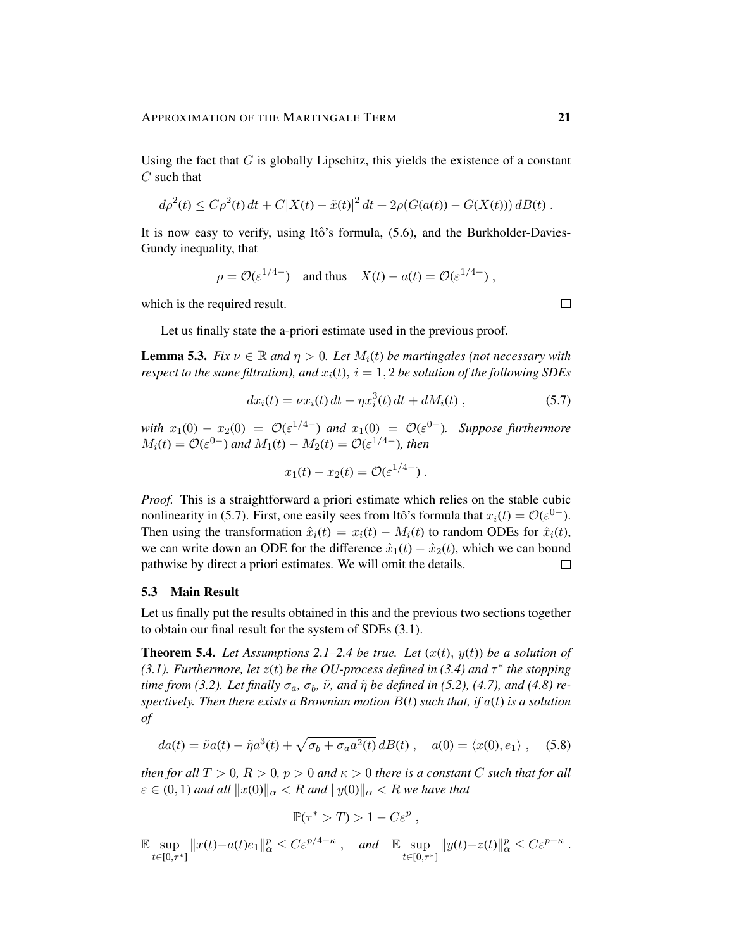Using the fact that  $G$  is globally Lipschitz, this yields the existence of a constant  $C$  such that

$$
d\rho^{2}(t) \leq C\rho^{2}(t) dt + C|X(t) - \tilde{x}(t)|^{2} dt + 2\rho(G(a(t)) - G(X(t))) dB(t).
$$

It is now easy to verify, using Itô's formula,  $(5.6)$ , and the Burkholder-Davies-Gundy inequality, that

$$
\rho = \mathcal{O}(\varepsilon^{1/4-})
$$
 and thus  $X(t) - a(t) = \mathcal{O}(\varepsilon^{1/4-})$ ,

which is the required result.

Let us finally state the a-priori estimate used in the previous proof.

**Lemma 5.3.** *Fix*  $\nu \in \mathbb{R}$  *and*  $\eta > 0$ *. Let*  $M_i(t)$  *be martingales (not necessary with respect to the same filtration), and*  $x_i(t)$ ,  $i = 1, 2$  *be solution of the following SDEs* 

$$
dx_i(t) = \nu x_i(t) dt - \eta x_i^3(t) dt + dM_i(t) , \qquad (5.7)
$$

*with*  $x_1(0) - x_2(0) = \mathcal{O}(\varepsilon^{1/4-})$  *and*  $x_1(0) = \mathcal{O}(\varepsilon^{0-})$ *.* Suppose furthermore  $M_i(t) = \mathcal{O}(\varepsilon^{0-})$  and  $M_1(t) - M_2(t) = \mathcal{O}(\varepsilon^{1/4-})$ , then

$$
x_1(t) - x_2(t) = \mathcal{O}(\varepsilon^{1/4-})\ .
$$

*Proof.* This is a straightforward a priori estimate which relies on the stable cubic nonlinearity in (5.7). First, one easily sees from Itô's formula that  $x_i(t) = \mathcal{O}(\varepsilon^{0-})$ . Then using the transformation  $\hat{x}_i(t) = x_i(t) - M_i(t)$  to random ODEs for  $\hat{x}_i(t)$ , we can write down an ODE for the difference  $\hat{x}_1(t) - \hat{x}_2(t)$ , which we can bound pathwise by direct a priori estimates. We will omit the details.  $\Box$ 

# 5.3 Main Result

Let us finally put the results obtained in this and the previous two sections together to obtain our final result for the system of SDEs (3.1).

**Theorem 5.4.** *Let Assumptions 2.1–2.4 be true. Let*  $(x(t), y(t))$  *be a solution of* (3.1). Furthermore, let  $z(t)$  be the OU-process defined in (3.4) and  $\tau^*$  the stopping *time from (3.2). Let finally*  $\sigma_a$ ,  $\sigma_b$ ,  $\tilde{\nu}$ , and  $\tilde{\eta}$  *be defined in (5.2), (4.7), and (4.8) respectively. Then there exists a Brownian motion* B(t) *such that, if* a(t) *is a solution of*

$$
da(t) = \tilde{\nu}a(t) - \tilde{\eta}a^3(t) + \sqrt{\sigma_b + \sigma_a a^2(t)} dB(t) , \quad a(0) = \langle x(0), e_1 \rangle , \quad (5.8)
$$

*then for all*  $T > 0$ ,  $R > 0$ ,  $p > 0$  *and*  $\kappa > 0$  *there is a constant* C *such that for all*  $\varepsilon \in (0, 1)$  and all  $||x(0)||_{\alpha} < R$  and  $||y(0)||_{\alpha} < R$  we have that

$$
\mathbb{P}(\tau^* > T) > 1 - C\varepsilon^p,
$$

E sup  $\sup_{t\in[0,\tau^*]} ||x(t)-a(t)e_1||^p_\alpha \leq C\varepsilon^{p/4-\kappa}$ , *and*  $\mathbb{E} \sup_{t\in[0,\tau^*]}$  $t \in [0, \tau^*]$  $||y(t)-z(t)||_{\alpha}^p \leq C\varepsilon^{p-\kappa}.$ 

 $\Box$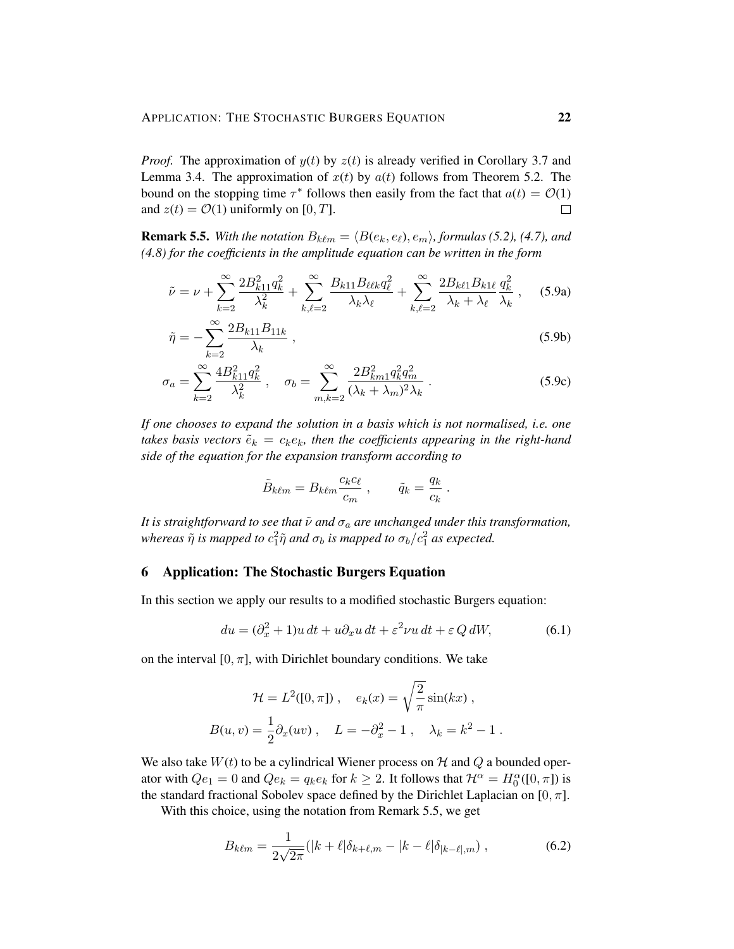*Proof.* The approximation of  $y(t)$  by  $z(t)$  is already verified in Corollary 3.7 and Lemma 3.4. The approximation of  $x(t)$  by  $a(t)$  follows from Theorem 5.2. The bound on the stopping time  $\tau^*$  follows then easily from the fact that  $a(t) = \mathcal{O}(1)$ and  $z(t) = \mathcal{O}(1)$  uniformly on [0, T].  $\Box$ 

**Remark 5.5.** *With the notation*  $B_{k\ell m} = \langle B(e_k, e_\ell), e_m \rangle$ , formulas (5.2), (4.7), and *(4.8) for the coefficients in the amplitude equation can be written in the form*

$$
\tilde{\nu} = \nu + \sum_{k=2}^{\infty} \frac{2B_{k11}^2 q_k^2}{\lambda_k^2} + \sum_{k,\ell=2}^{\infty} \frac{B_{k11} B_{\ell\ell k} q_{\ell}^2}{\lambda_k \lambda_{\ell}} + \sum_{k,\ell=2}^{\infty} \frac{2B_{k\ell 1} B_{k1\ell}}{\lambda_k + \lambda_{\ell}} \frac{q_k^2}{\lambda_k}, \quad (5.9a)
$$

$$
\tilde{\eta} = -\sum_{k=2}^{\infty} \frac{2B_{k11}B_{11k}}{\lambda_k} ,\qquad(5.9b)
$$

$$
\sigma_a = \sum_{k=2}^{\infty} \frac{4B_{k11}^2 q_k^2}{\lambda_k^2}, \quad \sigma_b = \sum_{m,k=2}^{\infty} \frac{2B_{km1}^2 q_k^2 q_m^2}{(\lambda_k + \lambda_m)^2 \lambda_k}.
$$
\n(5.9c)

*If one chooses to expand the solution in a basis which is not normalised, i.e. one takes basis vectors*  $\tilde{e}_k = c_k e_k$ , then the coefficients appearing in the right-hand *side of the equation for the expansion transform according to*

$$
\tilde{B}_{k\ell m} = B_{k\ell m} \frac{c_k c_\ell}{c_m} , \qquad \tilde{q}_k = \frac{q_k}{c_k} .
$$

*It is straightforward to see that*  $\tilde{\nu}$  *and*  $\sigma_a$  *are unchanged under this transformation,* whereas  $\tilde{\eta}$  is mapped to  $c_1^2\tilde{\eta}$  and  $\sigma_b$  is mapped to  $\sigma_b/c_1^2$  as expected.

# 6 Application: The Stochastic Burgers Equation

In this section we apply our results to a modified stochastic Burgers equation:

$$
du = (\partial_x^2 + 1)u dt + u\partial_x u dt + \varepsilon^2 \nu u dt + \varepsilon Q dW,
$$
\n(6.1)

on the interval  $[0, \pi]$ , with Dirichlet boundary conditions. We take

$$
\mathcal{H} = L^{2}([0, \pi]), \quad e_{k}(x) = \sqrt{\frac{2}{\pi}} \sin(kx),
$$
  

$$
B(u, v) = \frac{1}{2} \partial_{x}(uv), \quad L = -\partial_{x}^{2} - 1, \quad \lambda_{k} = k^{2} - 1.
$$

We also take  $W(t)$  to be a cylindrical Wiener process on H and Q a bounded operator with  $Qe_1 = 0$  and  $Qe_k = q_k e_k$  for  $k \geq 2$ . It follows that  $\mathcal{H}^{\alpha} = H_0^{\alpha}([0, \pi])$  is the standard fractional Sobolev space defined by the Dirichlet Laplacian on [0,  $\pi$ ].

With this choice, using the notation from Remark 5.5, we get

$$
B_{k\ell m} = \frac{1}{2\sqrt{2\pi}} (|k+\ell|\delta_{k+\ell,m} - |k-\ell|\delta_{|k-\ell|,m}), \qquad (6.2)
$$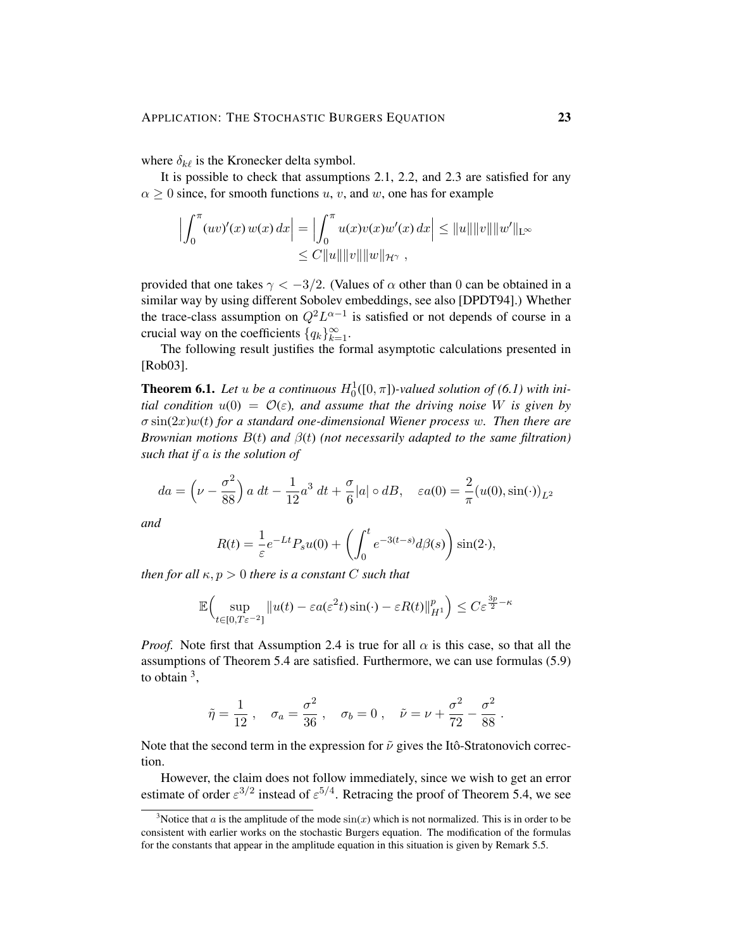where  $\delta_{k\ell}$  is the Kronecker delta symbol.

It is possible to check that assumptions 2.1, 2.2, and 2.3 are satisfied for any  $\alpha \geq 0$  since, for smooth functions u, v, and w, one has for example

$$
\left| \int_0^{\pi} (uv)'(x) w(x) dx \right| = \left| \int_0^{\pi} u(x)v(x)w'(x) dx \right| \le ||u|| ||v|| ||w'||_{L^{\infty}}\le C ||u|| ||v|| ||w||_{\mathcal{H}^{\gamma}},
$$

provided that one takes  $\gamma < -3/2$ . (Values of  $\alpha$  other than 0 can be obtained in a similar way by using different Sobolev embeddings, see also [DPDT94].) Whether the trace-class assumption on  $Q^2 L^{\alpha-1}$  is satisfied or not depends of course in a crucial way on the coefficients  $\{q_k\}_{k=1}^{\infty}$ .

The following result justifies the formal asymptotic calculations presented in [Rob03].

**Theorem 6.1.** Let u be a continuous  $H_0^1([0,\pi])$ -valued solution of (6.1) with ini*tial condition*  $u(0) = \mathcal{O}(\varepsilon)$ *, and assume that the driving noise* W *is given by* σ sin(2x)w(t) *for a standard one-dimensional Wiener process* w*. Then there are Brownian motions* B(t) *and* β(t) *(not necessarily adapted to the same filtration) such that if* a *is the solution of*

$$
da = \left(\nu - \frac{\sigma^2}{88}\right) a \, dt - \frac{1}{12} a^3 \, dt + \frac{\sigma}{6} |a| \circ dB, \quad \varepsilon a(0) = \frac{2}{\pi} (u(0), \sin(\cdot))_{L^2}
$$

*and*

$$
R(t) = \frac{1}{\varepsilon} e^{-Lt} P_s u(0) + \left( \int_0^t e^{-3(t-s)} d\beta(s) \right) \sin(2\cdot),
$$

*then for all*  $\kappa$ ,  $p > 0$  *there is a constant* C *such that* 

$$
\mathbb{E}\Big(\sup_{t\in[0,T\varepsilon^{-2}]} \|u(t)-\varepsilon a(\varepsilon^2 t)\sin(\cdot)-\varepsilon R(t)\|_{H^1}^p\Big)\leq C\varepsilon^{\frac{3p}{2}-\kappa}
$$

*Proof.* Note first that Assumption 2.4 is true for all  $\alpha$  is this case, so that all the assumptions of Theorem 5.4 are satisfied. Furthermore, we can use formulas (5.9) to obtain  $3$ ,

$$
\tilde{\eta} = \frac{1}{12}
$$
,  $\sigma_a = \frac{\sigma^2}{36}$ ,  $\sigma_b = 0$ ,  $\tilde{\nu} = \nu + \frac{\sigma^2}{72} - \frac{\sigma^2}{88}$ 

.

Note that the second term in the expression for  $\tilde{\nu}$  gives the Itô-Stratonovich correction.

However, the claim does not follow immediately, since we wish to get an error estimate of order  $\varepsilon^{3/2}$  instead of  $\varepsilon^{5/4}$ . Retracing the proof of Theorem 5.4, we see

<sup>&</sup>lt;sup>3</sup>Notice that a is the amplitude of the mode  $sin(x)$  which is not normalized. This is in order to be consistent with earlier works on the stochastic Burgers equation. The modification of the formulas for the constants that appear in the amplitude equation in this situation is given by Remark 5.5.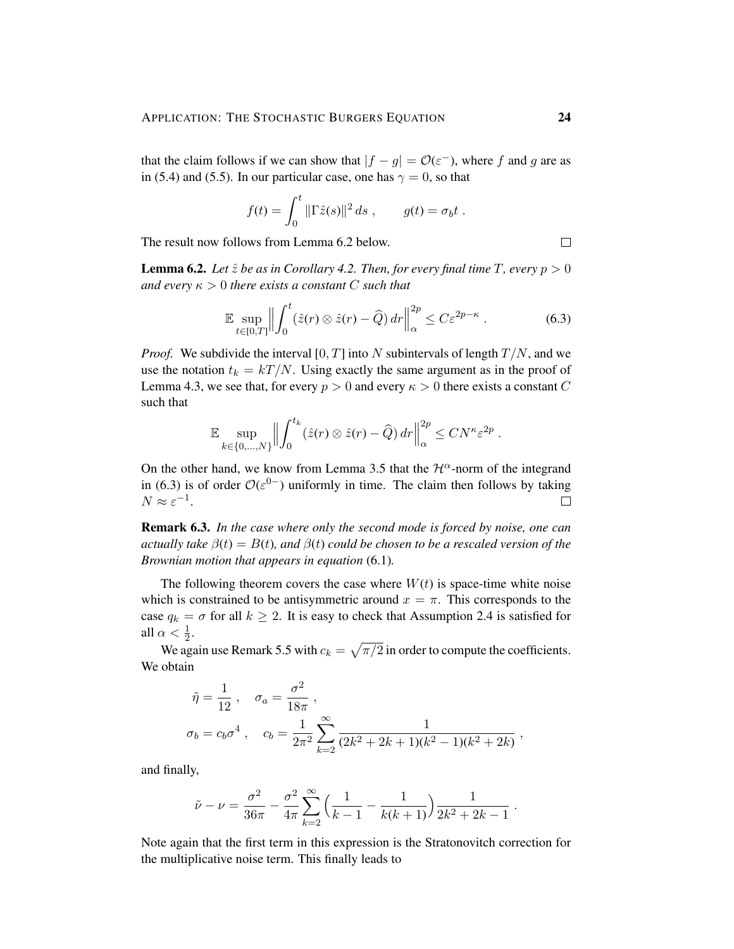that the claim follows if we can show that  $|f - g| = \mathcal{O}(\varepsilon^{-})$ , where f and g are as in (5.4) and (5.5). In our particular case, one has  $\gamma = 0$ , so that

$$
f(t) = \int_0^t \|\Gamma \hat{z}(s)\|^2 ds , \qquad g(t) = \sigma_b t .
$$

The result now follows from Lemma 6.2 below.

**Lemma 6.2.** *Let*  $\hat{z}$  *be as in Corollary 4.2. Then, for every final time T, every*  $p > 0$ *and every*  $\kappa > 0$  *there exists a constant* C *such that* 

$$
\mathbb{E} \sup_{t \in [0,T]} \left\| \int_0^t (\hat{z}(r) \otimes \hat{z}(r) - \widehat{Q}) \, dr \right\|_{\alpha}^{2p} \le C \varepsilon^{2p - \kappa} \,. \tag{6.3}
$$

*Proof.* We subdivide the interval [0, T] into N subintervals of length  $T/N$ , and we use the notation  $t_k = kT/N$ . Using exactly the same argument as in the proof of Lemma 4.3, we see that, for every  $p > 0$  and every  $\kappa > 0$  there exists a constant C such that

$$
\mathbb{E} \sup_{k \in \{0, ..., N\}} \Big\| \int_0^{t_k} (\hat{z}(r) \otimes \hat{z}(r) - \widehat{Q}) \, dr \Big\|_{\alpha}^{2p} \leq C N^{\kappa} \varepsilon^{2p} .
$$

On the other hand, we know from Lemma 3.5 that the  $\mathcal{H}^{\alpha}$ -norm of the integrand in (6.3) is of order  $\mathcal{O}(\varepsilon^{0-})$  uniformly in time. The claim then follows by taking  $N \approx \varepsilon^{-1}$ .  $\Box$ 

Remark 6.3. *In the case where only the second mode is forced by noise, one can actually take*  $\beta(t) = B(t)$ *, and*  $\beta(t)$  *could be chosen to be a rescaled version of the Brownian motion that appears in equation* (6.1)*.*

The following theorem covers the case where  $W(t)$  is space-time white noise which is constrained to be antisymmetric around  $x = \pi$ . This corresponds to the case  $q_k = \sigma$  for all  $k \geq 2$ . It is easy to check that Assumption 2.4 is satisfied for all  $\alpha < \frac{1}{2}$ .

We again use Remark 5.5 with  $c_k = \sqrt{\pi/2}$  in order to compute the coefficients. We obtain

$$
\tilde{\eta} = \frac{1}{12} , \quad \sigma_a = \frac{\sigma^2}{18\pi} ,
$$
  

$$
\sigma_b = c_b \sigma^4 , \quad c_b = \frac{1}{2\pi^2} \sum_{k=2}^{\infty} \frac{1}{(2k^2 + 2k + 1)(k^2 - 1)(k^2 + 2k)} ,
$$

and finally,

$$
\tilde{\nu} - \nu = \frac{\sigma^2}{36\pi} - \frac{\sigma^2}{4\pi} \sum_{k=2}^{\infty} \Big( \frac{1}{k-1} - \frac{1}{k(k+1)} \Big) \frac{1}{2k^2 + 2k - 1}.
$$

Note again that the first term in this expression is the Stratonovitch correction for the multiplicative noise term. This finally leads to

 $\Box$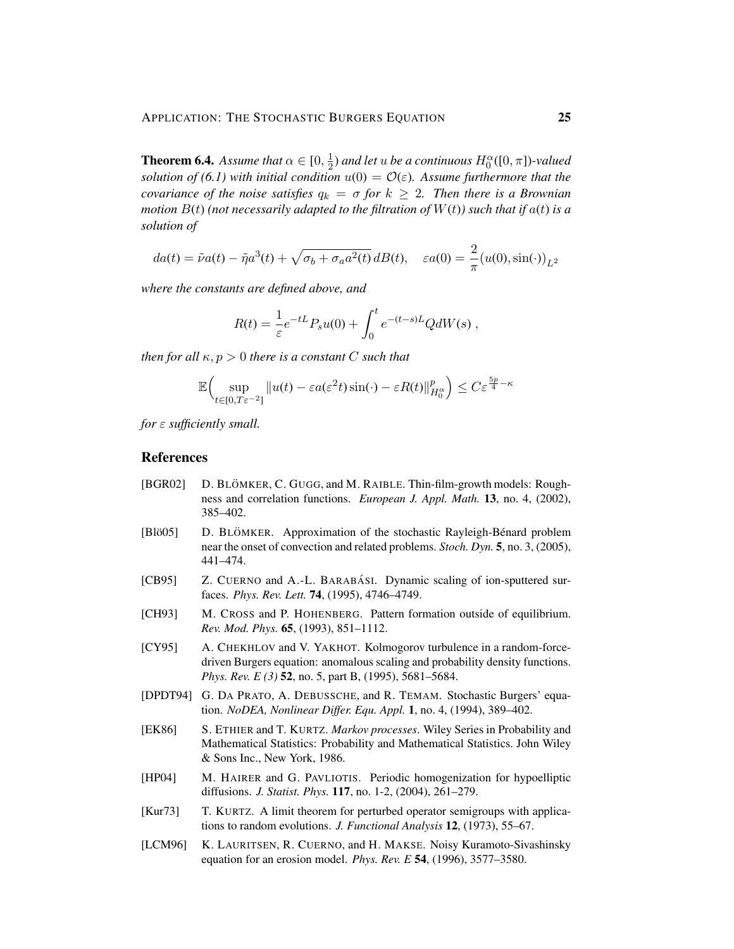**Theorem 6.4.** Assume that  $\alpha \in [0, \frac{1}{2}]$  $\frac{1}{2}$ ) and let  $u$  be a continuous  $H_0^{\alpha}([0,\pi])$ -valued *solution of (6.1) with initial condition*  $u(0) = \mathcal{O}(\varepsilon)$ *. Assume furthermore that the covariance of the noise satisfies*  $q_k = \sigma$  *for*  $k \geq 2$ *. Then there is a Brownian motion*  $B(t)$  (not necessarily adapted to the filtration of  $W(t)$ ) such that if  $a(t)$  is a *solution of*

$$
da(t) = \tilde{\nu}a(t) - \tilde{\eta}a^3(t) + \sqrt{\sigma_b + \sigma_a a^2(t)} dB(t), \quad \varepsilon a(0) = \frac{2}{\pi} (u(0), \sin(\cdot))_{L^2}
$$

*where the constants are defined above, and*

$$
R(t) = \frac{1}{\varepsilon} e^{-tL} P_s u(0) + \int_0^t e^{-(t-s)L} Q dW(s) ,
$$

*then for all*  $\kappa$ ,  $p > 0$  *there is a constant* C *such that* 

$$
\mathbb{E}\Big(\sup_{t\in[0,T\varepsilon^{-2}]} \|u(t)-\varepsilon a(\varepsilon^2 t)\sin(\cdot)-\varepsilon R(t)\|_{H_0^{\alpha}}^p\Big)\leq C\varepsilon^{\frac{5p}{4}-\kappa}
$$

*for* ε *sufficiently small.*

#### References

- [BGR02] D. BLÖMKER, C. GUGG, and M. RAIBLE. Thin-film-growth models: Roughness and correlation functions. *European J. Appl. Math.* 13, no. 4, (2002), 385–402.
- [Blö05] D. BLÖMKER. Approximation of the stochastic Rayleigh-Bénard problem near the onset of convection and related problems. *Stoch. Dyn.* 5, no. 3, (2005), 441–474.
- [CB95] Z. CUERNO and A.-L. BARABÁSI. Dynamic scaling of ion-sputtered surfaces. *Phys. Rev. Lett.* 74, (1995), 4746–4749.
- [CH93] M. CROSS and P. HOHENBERG. Pattern formation outside of equilibrium. *Rev. Mod. Phys.* 65, (1993), 851–1112.
- [CY95] A. CHEKHLOV and V. YAKHOT. Kolmogorov turbulence in a random-forcedriven Burgers equation: anomalous scaling and probability density functions. *Phys. Rev. E (3)* 52, no. 5, part B, (1995), 5681–5684.
- [DPDT94] G. DA PRATO, A. DEBUSSCHE, and R. TEMAM. Stochastic Burgers' equation. *NoDEA, Nonlinear Differ. Equ. Appl.* 1, no. 4, (1994), 389–402.
- [EK86] S. ETHIER and T. KURTZ. *Markov processes*. Wiley Series in Probability and Mathematical Statistics: Probability and Mathematical Statistics. John Wiley & Sons Inc., New York, 1986.
- [HP04] M. HAIRER and G. PAVLIOTIS. Periodic homogenization for hypoelliptic diffusions. *J. Statist. Phys.* 117, no. 1-2, (2004), 261–279.
- [Kur73] T. KURTZ. A limit theorem for perturbed operator semigroups with applications to random evolutions. *J. Functional Analysis* 12, (1973), 55–67.
- [LCM96] K. LAURITSEN, R. CUERNO, and H. MAKSE. Noisy Kuramoto-Sivashinsky equation for an erosion model. *Phys. Rev. E* 54, (1996), 3577–3580.